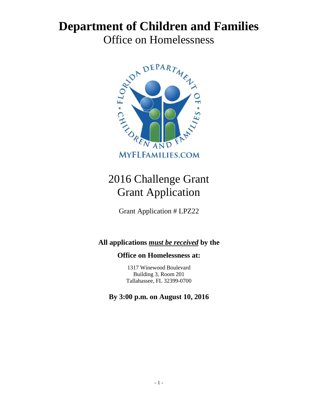# **Department of Children and Families**



## 2016 Challenge Grant Grant Application

Grant Application # LPZ22

## **All applications** *must be received* **by the**

## **Office on Homelessness at:**

1317 Winewood Boulevard Building 3, Room 201 Tallahassee, FL 32399-0700

**By 3:00 p.m. on August 10, 2016**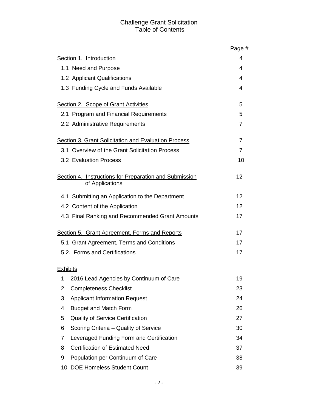## Challenge Grant Solicitation Table of Contents

|                                                                           | Page #         |
|---------------------------------------------------------------------------|----------------|
| Section 1. Introduction                                                   | 4              |
| 1.1 Need and Purpose                                                      | 4              |
| 1.2 Applicant Qualifications                                              | 4              |
| 1.3 Funding Cycle and Funds Available                                     | 4              |
| <b>Section 2. Scope of Grant Activities</b>                               | 5              |
| 2.1 Program and Financial Requirements                                    | 5              |
| 2.2 Administrative Requirements                                           | 7              |
| <b>Section 3. Grant Solicitation and Evaluation Process</b>               | $\overline{7}$ |
| 3.1 Overview of the Grant Solicitation Process                            | $\overline{7}$ |
| 3.2 Evaluation Process                                                    | 10             |
| Section 4. Instructions for Preparation and Submission<br>of Applications | 12             |
| 4.1 Submitting an Application to the Department                           | 12             |
| 4.2 Content of the Application                                            | 12             |
| 4.3 Final Ranking and Recommended Grant Amounts                           | 17             |
| Section 5. Grant Agreement, Forms and Reports                             | 17             |
| 5.1 Grant Agreement, Terms and Conditions                                 | 17             |
| 5.2. Forms and Certifications                                             | 17             |
| <b>Exhibits</b>                                                           |                |
| 2016 Lead Agencies by Continuum of Care<br>1                              | 19             |
| <b>Completeness Checklist</b><br>$\overline{2}$                           | 23             |
| 3<br><b>Applicant Information Request</b>                                 | 24             |
| <b>Budget and Match Form</b><br>4                                         | 26             |
| <b>Quality of Service Certification</b><br>5                              | 27             |
| Scoring Criteria - Quality of Service<br>6                                | 30             |
| Leveraged Funding Form and Certification<br>7                             | 34             |
| <b>Certification of Estimated Need</b><br>8                               | 37             |
| Population per Continuum of Care<br>9                                     | 38             |
| <b>DOE Homeless Student Count</b><br>10                                   | 39             |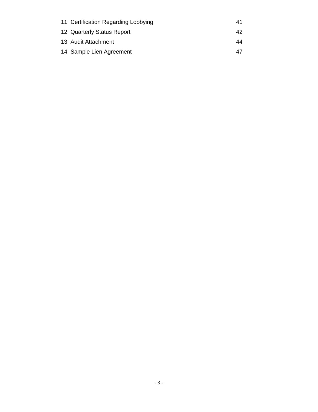| 11 Certification Regarding Lobbying | 41 |
|-------------------------------------|----|
| 12 Quarterly Status Report          | 42 |
| 13 Audit Attachment                 | 44 |
| 14 Sample Lien Agreement            | 47 |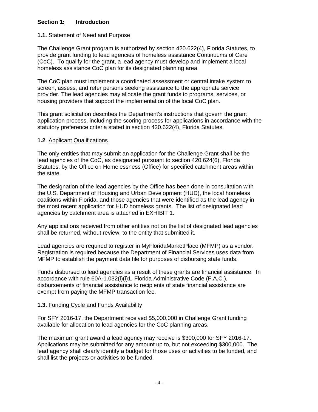## **Section 1: Introduction**

#### **1.1.** Statement of Need and Purpose

The Challenge Grant program is authorized by section 420.622(4), Florida Statutes, to provide grant funding to lead agencies of homeless assistance Continuums of Care (CoC). To qualify for the grant, a lead agency must develop and implement a local homeless assistance CoC plan for its designated planning area.

The CoC plan must implement a coordinated assessment or central intake system to screen, assess, and refer persons seeking assistance to the appropriate service provider. The lead agencies may allocate the grant funds to programs, services, or housing providers that support the implementation of the local CoC plan.

This grant solicitation describes the Department's instructions that govern the grant application process, including the scoring process for applications in accordance with the statutory preference criteria stated in section 420.622(4), Florida Statutes.

#### **1.2**. Applicant Qualifications

The only entities that may submit an application for the Challenge Grant shall be the lead agencies of the CoC, as designated pursuant to section 420.624(6), Florida Statutes, by the Office on Homelessness (Office) for specified catchment areas within the state.

The designation of the lead agencies by the Office has been done in consultation with the U.S. Department of Housing and Urban Development (HUD), the local homeless coalitions within Florida, and those agencies that were identified as the lead agency in the most recent application for HUD homeless grants. The list of designated lead agencies by catchment area is attached in EXHIBIT 1.

Any applications received from other entities not on the list of designated lead agencies shall be returned, without review, to the entity that submitted it.

Lead agencies are required to register in MyFloridaMarketPlace (MFMP) as a vendor. Registration is required because the Department of Financial Services uses data from MFMP to establish the payment data file for purposes of disbursing state funds.

Funds disbursed to lead agencies as a result of these grants are financial assistance. In accordance with rule 60A-1.032(l)(i)1, Florida Administrative Code (F.A.C.), disbursements of financial assistance to recipients of state financial assistance are exempt from paying the MFMP transaction fee.

## **1.3.** Funding Cycle and Funds Availability

For SFY 2016-17, the Department received \$5,000,000 in Challenge Grant funding available for allocation to lead agencies for the CoC planning areas.

The maximum grant award a lead agency may receive is \$300,000 for SFY 2016-17. Applications may be submitted for any amount up to, but not exceeding \$300,000. The lead agency shall clearly identify a budget for those uses or activities to be funded, and shall list the projects or activities to be funded.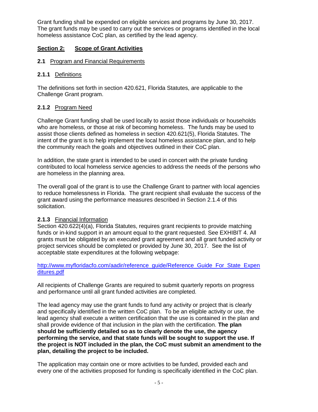Grant funding shall be expended on eligible services and programs by June 30, 2017. The grant funds may be used to carry out the services or programs identified in the local homeless assistance CoC plan, as certified by the lead agency.

## **Section 2: Scope of Grant Activities**

## **2.1** Program and Financial Requirements

#### **2.1.1** Definitions

The definitions set forth in section 420.621, Florida Statutes, are applicable to the Challenge Grant program.

## **2.1.2** Program Need

Challenge Grant funding shall be used locally to assist those individuals or households who are homeless, or those at risk of becoming homeless. The funds may be used to assist those clients defined as homeless in section 420.621(5), Florida Statutes. The intent of the grant is to help implement the local homeless assistance plan, and to help the community reach the goals and objectives outlined in their CoC plan.

In addition, the state grant is intended to be used in concert with the private funding contributed to local homeless service agencies to address the needs of the persons who are homeless in the planning area.

The overall goal of the grant is to use the Challenge Grant to partner with local agencies to reduce homelessness in Florida. The grant recipient shall evaluate the success of the grant award using the performance measures described in Section 2.1.4 of this solicitation.

## **2.1.3** Financial Information

Section 420.622(4)(a), Florida Statutes, requires grant recipients to provide matching funds or in-kind support in an amount equal to the grant requested. See EXHIBIT 4. All grants must be obligated by an executed grant agreement and all grant funded activity or project services should be completed or provided by June 30, 2017. See the list of acceptable state expenditures at the following webpage:

[http://www.myfloridacfo.com/aadir/reference\\_guide/Reference\\_Guide\\_For\\_State\\_Expen](http://www.myfloridacfo.com/aadir/reference_guide/Reference_Guide_For_State_Expenditures.pdf) [ditures.pdf](http://www.myfloridacfo.com/aadir/reference_guide/Reference_Guide_For_State_Expenditures.pdf)

All recipients of Challenge Grants are required to submit quarterly reports on progress and performance until all grant funded activities are completed.

The lead agency may use the grant funds to fund any activity or project that is clearly and specifically identified in the written CoC plan. To be an eligible activity or use, the lead agency shall execute a written certification that the use is contained in the plan and shall provide evidence of that inclusion in the plan with the certification. **The plan should be sufficiently detailed so as to clearly denote the use, the agency performing the service, and that state funds will be sought to support the use. If the project is NOT included in the plan, the CoC must submit an amendment to the plan, detailing the project to be included.**

The application may contain one or more activities to be funded, provided each and every one of the activities proposed for funding is specifically identified in the CoC plan.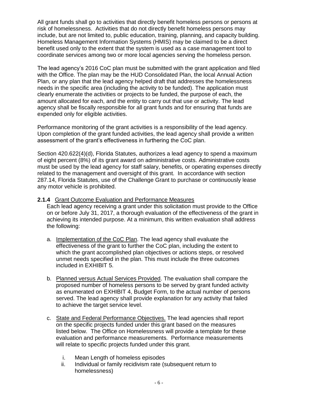All grant funds shall go to activities that directly benefit homeless persons or persons at risk of homelessness. Activities that do not directly benefit homeless persons may include, but are not limited to, public education, training, planning, and capacity building. Homeless Management Information Systems (HMIS) may be claimed to be a direct benefit used only to the extent that the system is used as a case management tool to coordinate services among two or more local agencies serving the homeless person.

The lead agency's 2016 CoC plan must be submitted with the grant application and filed with the Office. The plan may be the HUD Consolidated Plan, the local Annual Action Plan, or any plan that the lead agency helped draft that addresses the homelessness needs in the specific area (including the activity to be funded). The application must clearly enumerate the activities or projects to be funded, the purpose of each, the amount allocated for each, and the entity to carry out that use or activity. The lead agency shall be fiscally responsible for all grant funds and for ensuring that funds are expended only for eligible activities.

Performance monitoring of the grant activities is a responsibility of the lead agency. Upon completion of the grant funded activities, the lead agency shall provide a written assessment of the grant's effectiveness in furthering the CoC plan.

Section 420.622(4)(d), Florida Statutes, authorizes a lead agency to spend a maximum of eight percent (8%) of its grant award on administrative costs. Administrative costs must be used by the lead agency for staff salary, benefits, or operating expenses directly related to the management and oversight of this grant. In accordance with section 287.14, Florida Statutes, use of the Challenge Grant to purchase or continuously lease any motor vehicle is prohibited.

#### **2.1.4** Grant Outcome Evaluation and Performance Measures

Each lead agency receiving a grant under this solicitation must provide to the Office on or before July 31, 2017, a thorough evaluation of the effectiveness of the grant in achieving its intended purpose. At a minimum, this written evaluation shall address the following:

- a. Implementation of the CoC Plan. The lead agency shall evaluate the effectiveness of the grant to further the CoC plan, including the extent to which the grant accomplished plan objectives or actions steps, or resolved unmet needs specified in the plan. This must include the three outcomes included in EXHIBIT 5.
- b. Planned versus Actual Services Provided. The evaluation shall compare the proposed number of homeless persons to be served by grant funded activity as enumerated on EXHIBIT 4, Budget Form, to the actual number of persons served. The lead agency shall provide explanation for any activity that failed to achieve the target service level.
- c. State and Federal Performance Objectives. The lead agencies shall report on the specific projects funded under this grant based on the measures listed below. The Office on Homelessness will provide a template for these evaluation and performance measurements. Performance measurements will relate to specific projects funded under this grant.
	- i. Mean Length of homeless episodes
	- ii. Individual or family recidivism rate (subsequent return to homelessness)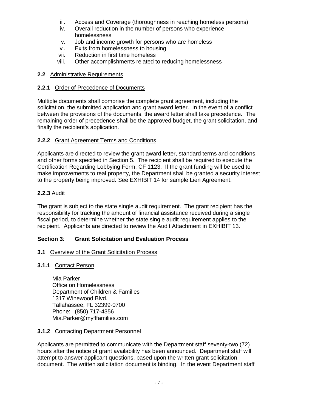- iii. Access and Coverage (thoroughness in reaching homeless persons)
- iv. Overall reduction in the number of persons who experience homelessness
- v. Job and income growth for persons who are homeless
- vi. Exits from homelessness to housing
- vii. Reduction in first time homeless
- viii. Other accomplishments related to reducing homelessness

## **2.2** Administrative Requirements

## **2.2.1** Order of Precedence of Documents

Multiple documents shall comprise the complete grant agreement, including the solicitation, the submitted application and grant award letter. In the event of a conflict between the provisions of the documents, the award letter shall take precedence. The remaining order of precedence shall be the approved budget, the grant solicitation, and finally the recipient's application.

## **2.2.2** Grant Agreement Terms and Conditions

Applicants are directed to review the grant award letter, standard terms and conditions, and other forms specified in Section 5. The recipient shall be required to execute the Certification Regarding Lobbying Form, CF 1123. If the grant funding will be used to make improvements to real property, the Department shall be granted a security interest to the property being improved. See EXHIBIT 14 for sample Lien Agreement.

## **2.2.3** Audit

The grant is subject to the state single audit requirement. The grant recipient has the responsibility for tracking the amount of financial assistance received during a single fiscal period, to determine whether the state single audit requirement applies to the recipient. Applicants are directed to review the Audit Attachment in EXHIBIT 13.

## **Section 3**: **Grant Solicitation and Evaluation Process**

## **3.1** Overview of the Grant Solicitation Process

## **3.1.1** Contact Person

Mia Parker Office on Homelessness Department of Children & Families 1317 Winewood Blvd. Tallahassee, FL 32399-0700 Phone: (850) 717-4356 Mia.Parker@myflfamilies.com

## **3.1.2** Contacting Department Personnel

Applicants are permitted to communicate with the Department staff seventy-two (72) hours after the notice of grant availability has been announced. Department staff will attempt to answer applicant questions, based upon the written grant solicitation document. The written solicitation document is binding. In the event Department staff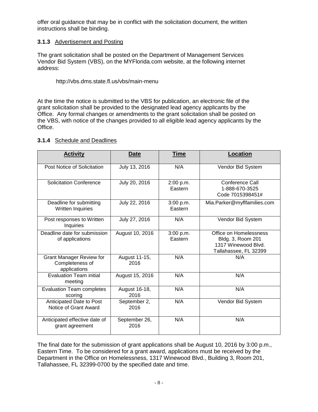offer oral guidance that may be in conflict with the solicitation document, the written instructions shall be binding.

## **3.1.3** Advertisement and Posting

The grant solicitation shall be posted on the Department of Management Services Vendor Bid System (VBS), on the MYFlorida.com website, at the following internet address:

#### http://vbs.dms.state.fl.us/vbs/main-menu

At the time the notice is submitted to the VBS for publication, an electronic file of the grant solicitation shall be provided to the designated lead agency applicants by the Office. Any formal changes or amendments to the grant solicitation shall be posted on the VBS, with notice of the changes provided to all eligible lead agency applicants by the Office.

## **3.1.4** Schedule and Deadlines

| <b>Activity</b>                                                    | Date                  | <b>Time</b>          | <b>Location</b>                                                                             |
|--------------------------------------------------------------------|-----------------------|----------------------|---------------------------------------------------------------------------------------------|
| Post Notice of Solicitation                                        | July 13, 2016         | N/A                  | Vendor Bid System                                                                           |
| <b>Solicitation Conference</b>                                     | July 20, 2016         | 2:00 p.m.<br>Eastern | Conference Call<br>1-888-670-3525<br>Code 7015398451#                                       |
| Deadline for submitting<br>Written Inquiries                       | July 22, 2016         | 3:00 p.m.<br>Eastern | Mia.Parker@myflfamilies.com                                                                 |
| Post responses to Written<br>Inquiries                             | July 27, 2016         | N/A                  | Vendor Bid System                                                                           |
| Deadline date for submission<br>of applications                    | August 10, 2016       | 3:00 p.m.<br>Eastern | Office on Homelessness<br>Bldg. 3, Room 201<br>1317 Winewood Blvd.<br>Tallahassee, FL 32399 |
| <b>Grant Manager Review for</b><br>Completeness of<br>applications | August 11-15,<br>2016 | N/A                  | N/A                                                                                         |
| <b>Evaluation Team initial</b><br>meeting                          | August 15, 2016       | N/A                  | N/A                                                                                         |
| <b>Evaluation Team completes</b><br>scoring                        | August 16-18,<br>2016 | N/A                  | N/A                                                                                         |
| Anticipated Date to Post<br>Notice of Grant Award                  | September 2,<br>2016  | N/A                  | Vendor Bid System                                                                           |
| Anticipated effective date of<br>grant agreement                   | September 26,<br>2016 | N/A                  | N/A                                                                                         |

The final date for the submission of grant applications shall be August 10, 2016 by 3:00 p.m., Eastern Time. To be considered for a grant award, applications must be received by the Department in the Office on Homelessness, 1317 Winewood Blvd., Building 3, Room 201, Tallahassee, FL 32399-0700 by the specified date and time.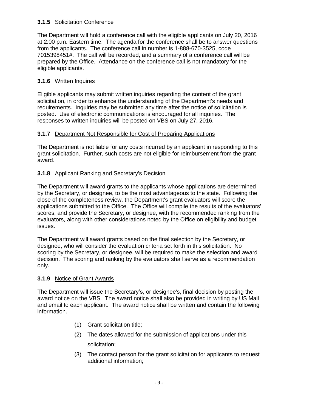## **3.1.5** Solicitation Conference

The Department will hold a conference call with the eligible applicants on July 20, 2016 at 2:00 p.m. Eastern time. The agenda for the conference shall be to answer questions from the applicants. The conference call in number is 1-888-670-3525, code 7015398451#. The call will be recorded, and a summary of a conference call will be prepared by the Office. Attendance on the conference call is not mandatory for the eligible applicants.

## **3.1.6** Written Inquires

Eligible applicants may submit written inquiries regarding the content of the grant solicitation, in order to enhance the understanding of the Department's needs and requirements. Inquiries may be submitted any time after the notice of solicitation is posted. Use of electronic communications is encouraged for all inquiries. The responses to written inquiries will be posted on VBS on July 27, 2016.

## **3.1.7** Department Not Responsible for Cost of Preparing Applications

The Department is not liable for any costs incurred by an applicant in responding to this grant solicitation. Further, such costs are not eligible for reimbursement from the grant award.

## **3.1.8** Applicant Ranking and Secretary's Decision

The Department will award grants to the applicants whose applications are determined by the Secretary, or designee, to be the most advantageous to the state. Following the close of the completeness review, the Department's grant evaluators will score the applications submitted to the Office. The Office will compile the results of the evaluators' scores, and provide the Secretary, or designee, with the recommended ranking from the evaluators, along with other considerations noted by the Office on eligibility and budget issues.

The Department will award grants based on the final selection by the Secretary, or designee, who will consider the evaluation criteria set forth in this solicitation. No scoring by the Secretary, or designee, will be required to make the selection and award decision. The scoring and ranking by the evaluators shall serve as a recommendation only.

## **3.1.9** Notice of Grant Awards

The Department will issue the Secretary's, or designee's, final decision by posting the award notice on the VBS. The award notice shall also be provided in writing by US Mail and email to each applicant. The award notice shall be written and contain the following information.

- (1) Grant solicitation title;
- (2) The dates allowed for the submission of applications under this solicitation;
- (3) The contact person for the grant solicitation for applicants to request additional information;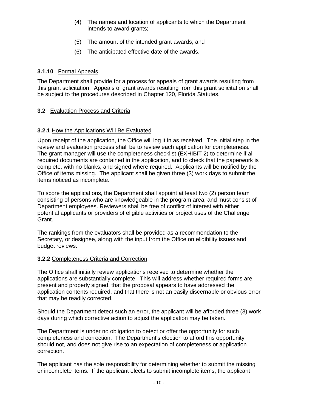- (4) The names and location of applicants to which the Department intends to award grants;
- (5) The amount of the intended grant awards; and
- (6) The anticipated effective date of the awards.

## **3.1.10** Formal Appeals

The Department shall provide for a process for appeals of grant awards resulting from this grant solicitation. Appeals of grant awards resulting from this grant solicitation shall be subject to the procedures described in Chapter 120, Florida Statutes.

## **3.2** Evaluation Process and Criteria

## **3.2.1** How the Applications Will Be Evaluated

Upon receipt of the application, the Office will log it in as received. The initial step in the review and evaluation process shall be to review each application for completeness. The grant manager will use the completeness checklist (EXHIBIT 2) to determine if all required documents are contained in the application, and to check that the paperwork is complete, with no blanks, and signed where required. Applicants will be notified by the Office of items missing. The applicant shall be given three (3) work days to submit the items noticed as incomplete.

To score the applications, the Department shall appoint at least two (2) person team consisting of persons who are knowledgeable in the program area, and must consist of Department employees. Reviewers shall be free of conflict of interest with either potential applicants or providers of eligible activities or project uses of the Challenge Grant.

The rankings from the evaluators shall be provided as a recommendation to the Secretary, or designee, along with the input from the Office on eligibility issues and budget reviews.

## **3.2.2** Completeness Criteria and Correction

The Office shall initially review applications received to determine whether the applications are substantially complete. This will address whether required forms are present and properly signed, that the proposal appears to have addressed the application contents required, and that there is not an easily discernable or obvious error that may be readily corrected.

Should the Department detect such an error, the applicant will be afforded three (3) work days during which corrective action to adjust the application may be taken.

The Department is under no obligation to detect or offer the opportunity for such completeness and correction. The Department's election to afford this opportunity should not, and does not give rise to an expectation of completeness or application correction.

The applicant has the sole responsibility for determining whether to submit the missing or incomplete items. If the applicant elects to submit incomplete items, the applicant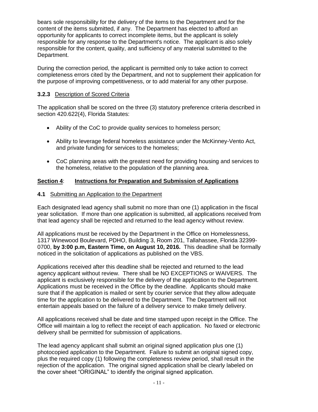bears sole responsibility for the delivery of the items to the Department and for the content of the items submitted, if any. The Department has elected to afford an opportunity for applicants to correct incomplete items, but the applicant is solely responsible for any response to the Department's notice. The applicant is also solely responsible for the content, quality, and sufficiency of any material submitted to the Department.

During the correction period, the applicant is permitted only to take action to correct completeness errors cited by the Department, and not to supplement their application for the purpose of improving competitiveness, or to add material for any other purpose.

## **3.2.3** Description of Scored Criteria

The application shall be scored on the three (3) statutory preference criteria described in section 420.622(4), Florida Statutes:

- Ability of the CoC to provide quality services to homeless person;
- Ability to leverage federal homeless assistance under the McKinney-Vento Act, and private funding for services to the homeless;
- CoC planning areas with the greatest need for providing housing and services to the homeless, relative to the population of the planning area.

## **Section 4**: **Instructions for Preparation and Submission of Applications**

## **4.1** Submitting an Application to the Department

Each designated lead agency shall submit no more than one (1) application in the fiscal year solicitation. If more than one application is submitted, all applications received from that lead agency shall be rejected and returned to the lead agency without review.

All applications must be received by the Department in the Office on Homelessness, 1317 Winewood Boulevard, PDHO, Building 3, Room 201, Tallahassee, Florida 32399- 0700, **by 3:00 p.m, Eastern Time, on August 10, 2016.** This deadline shall be formally noticed in the solicitation of applications as published on the VBS.

Applications received after this deadline shall be rejected and returned to the lead agency applicant without review. There shall be NO EXCEPTIONS or WAIVERS. The applicant is exclusively responsible for the delivery of the application to the Department. Applications must be received in the Office by the deadline. Applicants should make sure that if the application is mailed or sent by courier service that they allow adequate time for the application to be delivered to the Department. The Department will not entertain appeals based on the failure of a delivery service to make timely delivery.

All applications received shall be date and time stamped upon receipt in the Office. The Office will maintain a log to reflect the receipt of each application. No faxed or electronic delivery shall be permitted for submission of applications.

The lead agency applicant shall submit an original signed application plus one (1) photocopied application to the Department. Failure to submit an original signed copy, plus the required copy (1) following the completeness review period, shall result in the rejection of the application. The original signed application shall be clearly labeled on the cover sheet "ORIGINAL" to identify the original signed application.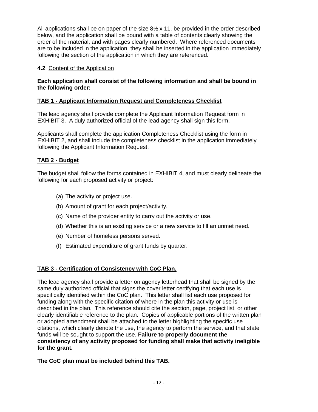All applications shall be on paper of the size  $8\frac{1}{2} \times 11$ , be provided in the order described below, and the application shall be bound with a table of contents clearly showing the order of the material, and with pages clearly numbered. Where referenced documents are to be included in the application, they shall be inserted in the application immediately following the section of the application in which they are referenced.

## **4.2** Content of the Application

## **Each application shall consist of the following information and shall be bound in the following order:**

## **TAB 1 - Applicant Information Request and Completeness Checklist**

The lead agency shall provide complete the Applicant Information Request form in EXHIBIT 3. A duly authorized official of the lead agency shall sign this form.

Applicants shall complete the application Completeness Checklist using the form in EXHIBIT 2, and shall include the completeness checklist in the application immediately following the Applicant Information Request.

## **TAB 2 - Budget**

The budget shall follow the forms contained in EXHIBIT 4, and must clearly delineate the following for each proposed activity or project:

- (a) The activity or project use.
- (b) Amount of grant for each project/activity.
- (c) Name of the provider entity to carry out the activity or use.
- (d) Whether this is an existing service or a new service to fill an unmet need.
- (e) Number of homeless persons served.
- (f) Estimated expenditure of grant funds by quarter.

## **TAB 3 - Certification of Consistency with CoC Plan.**

The lead agency shall provide a letter on agency letterhead that shall be signed by the same duly authorized official that signs the cover letter certifying that each use is specifically identified within the CoC plan. This letter shall list each use proposed for funding along with the specific citation of where in the plan this activity or use is described in the plan. This reference should cite the section, page, project list, or other clearly identifiable reference to the plan. Copies of applicable portions of the written plan or adopted amendment shall be attached to the letter highlighting the specific use citations, which clearly denote the use, the agency to perform the service, and that state funds will be sought to support the use. **Failure to properly document the consistency of any activity proposed for funding shall make that activity ineligible for the grant.** 

## **The CoC plan must be included behind this TAB.**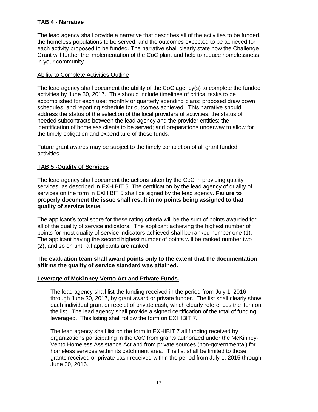## **TAB 4 - Narrative**

The lead agency shall provide a narrative that describes all of the activities to be funded, the homeless populations to be served, and the outcomes expected to be achieved for each activity proposed to be funded. The narrative shall clearly state how the Challenge Grant will further the implementation of the CoC plan, and help to reduce homelessness in your community.

## Ability to Complete Activities Outline

The lead agency shall document the ability of the CoC agency(s) to complete the funded activities by June 30, 2017. This should include timelines of critical tasks to be accomplished for each use; monthly or quarterly spending plans; proposed draw down schedules; and reporting schedule for outcomes achieved. This narrative should address the status of the selection of the local providers of activities; the status of needed subcontracts between the lead agency and the provider entities; the identification of homeless clients to be served; and preparations underway to allow for the timely obligation and expenditure of these funds.

Future grant awards may be subject to the timely completion of all grant funded activities.

## **TAB 5 -Quality of Services**

The lead agency shall document the actions taken by the CoC in providing quality services, as described in EXHIBIT 5. The certification by the lead agency of quality of services on the form in EXHIBIT 5 shall be signed by the lead agency. **Failure to properly document the issue shall result in no points being assigned to that quality of service issue.**

The applicant's total score for these rating criteria will be the sum of points awarded for all of the quality of service indicators. The applicant achieving the highest number of points for most quality of service indicators achieved shall be ranked number one (1). The applicant having the second highest number of points will be ranked number two (2), and so on until all applicants are ranked.

## **The evaluation team shall award points only to the extent that the documentation affirms the quality of service standard was attained.**

## **Leverage of McKinney-Vento Act and Private Funds.**

The lead agency shall list the funding received in the period from July 1, 2016 through June 30, 2017, by grant award or private funder. The list shall clearly show each individual grant or receipt of private cash, which clearly references the item on the list. The lead agency shall provide a signed certification of the total of funding leveraged. This listing shall follow the form on EXHIBIT 7.

The lead agency shall list on the form in EXHIBIT 7 all funding received by organizations participating in the CoC from grants authorized under the McKinney-Vento Homeless Assistance Act and from private sources (non-governmental) for homeless services within its catchment area. The list shall be limited to those grants received or private cash received within the period from July 1, 2015 through June 30, 2016.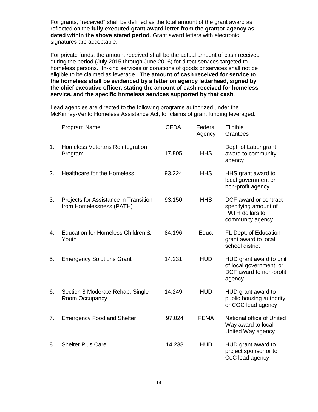For grants, "received" shall be defined as the total amount of the grant award as reflected on the **fully executed grant award letter from the grantor agency as dated within the above stated period**. Grant award letters with electronic signatures are acceptable.

For private funds, the amount received shall be the actual amount of cash received during the period (July 2015 through June 2016) for direct services targeted to homeless persons. In-kind services or donations of goods or services shall not be eligible to be claimed as leverage. **The amount of cash received for service to the homeless shall be evidenced by a letter on agency letterhead, signed by the chief executive officer, stating the amount of cash received for homeless service, and the specific homeless services supported by that cash**.

Lead agencies are directed to the following programs authorized under the McKinney-Vento Homeless Assistance Act, for claims of grant funding leveraged.

|                | <b>Program Name</b>                                               | <b>CFDA</b> | <b>Federal</b><br>Agency | Eligible<br>Grantees                                                                    |
|----------------|-------------------------------------------------------------------|-------------|--------------------------|-----------------------------------------------------------------------------------------|
| 1 <sub>1</sub> | Homeless Veterans Reintegration<br>Program                        | 17.805      | <b>HHS</b>               | Dept. of Labor grant<br>award to community<br>agency                                    |
| 2.             | Healthcare for the Homeless                                       | 93.224      | <b>HHS</b>               | HHS grant award to<br>local government or<br>non-profit agency                          |
| 3.             | Projects for Assistance in Transition<br>from Homelessness (PATH) | 93.150      | <b>HHS</b>               | DCF award or contract<br>specifying amount of<br>PATH dollars to<br>community agency    |
| 4.             | Education for Homeless Children &<br>Youth                        | 84.196      | Educ.                    | FL Dept. of Education<br>grant award to local<br>school district                        |
| 5.             | <b>Emergency Solutions Grant</b>                                  | 14.231      | <b>HUD</b>               | HUD grant award to unit<br>of local government, or<br>DCF award to non-profit<br>agency |
| 6.             | Section 8 Moderate Rehab, Single<br>Room Occupancy                | 14.249      | <b>HUD</b>               | HUD grant award to<br>public housing authority<br>or COC lead agency                    |
| 7.             | <b>Emergency Food and Shelter</b>                                 | 97.024      | <b>FEMA</b>              | National office of United<br>Way award to local<br>United Way agency                    |
| 8.             | <b>Shelter Plus Care</b>                                          | 14.238      | <b>HUD</b>               | HUD grant award to<br>project sponsor or to<br>CoC lead agency                          |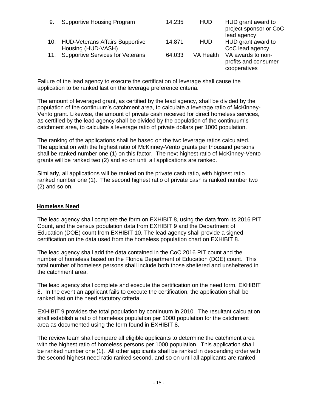| 9.  | <b>Supportive Housing Program</b>                         | 14.235 | <b>HUD</b> | HUD grant award to<br>project sponsor or CoC<br>lead agency |
|-----|-----------------------------------------------------------|--------|------------|-------------------------------------------------------------|
|     | 10. HUD-Veterans Affairs Supportive<br>Housing (HUD-VASH) | 14.871 | <b>HUD</b> | HUD grant award to<br>CoC lead agency                       |
| 11. | <b>Supportive Services for Veterans</b>                   | 64.033 | VA Health  | VA awards to non-<br>profits and consumer<br>cooperatives   |

Failure of the lead agency to execute the certification of leverage shall cause the application to be ranked last on the leverage preference criteria.

The amount of leveraged grant, as certified by the lead agency, shall be divided by the population of the continuum's catchment area, to calculate a leverage ratio of McKinney-Vento grant. Likewise, the amount of private cash received for direct homeless services, as certified by the lead agency shall be divided by the population of the continuum's catchment area, to calculate a leverage ratio of private dollars per 1000 population.

The ranking of the applications shall be based on the two leverage ratios calculated. The application with the highest ratio of McKinney-Vento grants per thousand persons shall be ranked number one (1) on this factor. The next highest ratio of McKinney-Vento grants will be ranked two (2) and so on until all applications are ranked.

Similarly, all applications will be ranked on the private cash ratio, with highest ratio ranked number one (1). The second highest ratio of private cash is ranked number two (2) and so on.

#### **Homeless Need**

The lead agency shall complete the form on EXHIBIT 8, using the data from its 2016 PIT Count, and the census population data from EXHIBIT 9 and the Department of Education (DOE) count from EXHIBIT 10. The lead agency shall provide a signed certification on the data used from the homeless population chart on EXHIBIT 8.

The lead agency shall add the data contained in the CoC 2016 PIT count and the number of homeless based on the Florida Department of Education (DOE) count. This total number of homeless persons shall include both those sheltered and unsheltered in the catchment area.

The lead agency shall complete and execute the certification on the need form, EXHIBIT 8. In the event an applicant fails to execute the certification, the application shall be ranked last on the need statutory criteria.

EXHIBIT 9 provides the total population by continuum in 2010. The resultant calculation shall establish a ratio of homeless population per 1000 population for the catchment area as documented using the form found in EXHIBIT 8.

The review team shall compare all eligible applicants to determine the catchment area with the highest ratio of homeless persons per 1000 population. This application shall be ranked number one (1). All other applicants shall be ranked in descending order with the second highest need ratio ranked second, and so on until all applicants are ranked.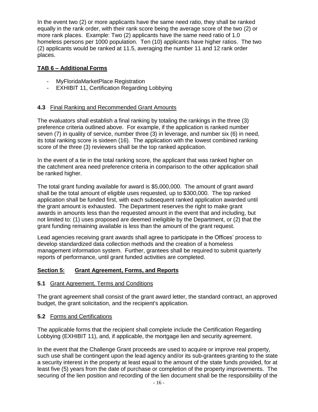In the event two (2) or more applicants have the same need ratio, they shall be ranked equally in the rank order, with their rank score being the average score of the two (2) or more rank places. Example: Two (2) applicants have the same need ratio of 1.0 homeless persons per 1000 population. Ten (10) applicants have higher ratios. The two (2) applicants would be ranked at 11.5, averaging the number 11 and 12 rank order places.

## **TAB 6 – Additional Forms**

- MyFloridaMarketPlace Registration
- EXHIBIT 11, Certification Regarding Lobbying

## **4.3** Final Ranking and Recommended Grant Amounts

The evaluators shall establish a final ranking by totaling the rankings in the three (3) preference criteria outlined above. For example, if the application is ranked number seven (7) in quality of service, number three (3) in leverage, and number six (6) in need, its total ranking score is sixteen (16). The application with the lowest combined ranking score of the three (3) reviewers shall be the top ranked application.

In the event of a tie in the total ranking score, the applicant that was ranked higher on the catchment area need preference criteria in comparison to the other application shall be ranked higher.

The total grant funding available for award is \$5,000,000. The amount of grant award shall be the total amount of eligible uses requested, up to \$300,000. The top ranked application shall be funded first, with each subsequent ranked application awarded until the grant amount is exhausted. The Department reserves the right to make grant awards in amounts less than the requested amount in the event that and including, but not limited to: (1) uses proposed are deemed ineligible by the Department, or (2) that the grant funding remaining available is less than the amount of the grant request.

Lead agencies receiving grant awards shall agree to participate in the Offices' process to develop standardized data collection methods and the creation of a homeless management information system. Further, grantees shall be required to submit quarterly reports of performance, until grant funded activities are completed.

## **Section 5: Grant Agreement, Forms, and Reports**

## **5.1** Grant Agreement, Terms and Conditions

The grant agreement shall consist of the grant award letter, the standard contract, an approved budget, the grant solicitation, and the recipient's application.

## **5.2** Forms and Certifications

The applicable forms that the recipient shall complete include the Certification Regarding Lobbying (EXHIBIT 11), and, if applicable, the mortgage lien and security agreement.

In the event that the Challenge Grant proceeds are used to acquire or improve real property, such use shall be contingent upon the lead agency and/or its sub-grantees granting to the state a security interest in the property at least equal to the amount of the state funds provided, for at least five (5) years from the date of purchase or completion of the property improvements. The securing of the lien position and recording of the lien document shall be the responsibility of the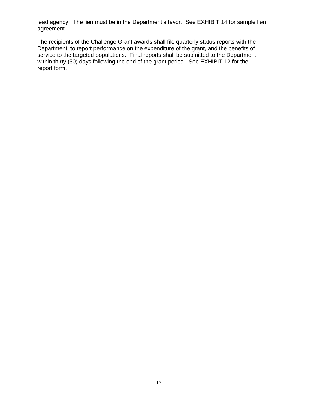lead agency. The lien must be in the Department's favor. See EXHIBIT 14 for sample lien agreement.

The recipients of the Challenge Grant awards shall file quarterly status reports with the Department, to report performance on the expenditure of the grant, and the benefits of service to the targeted populations. Final reports shall be submitted to the Department within thirty (30) days following the end of the grant period. See EXHIBIT 12 for the report form.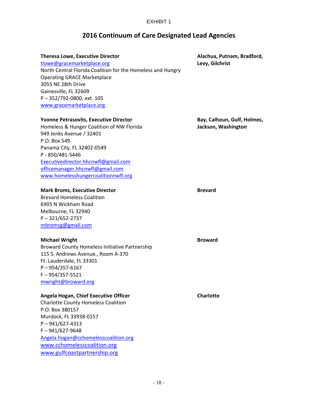## **2016 Continuum of Care Designated Lead Agencies**

#### **Theresa Lowe, Executive Director**

[tlowe@gracemarketplace.org](mailto:tlowe@gracemarketplace.org) North Central Florida Coalition for the Homeless and Hungry Operating GRACE Marketplace 3055 NE 28th Drive Gainesville, FL 32609 P – 352/792-0800, ext. 105 [www.gracemarketplace.org](http://www.gracemarketplace.org/)

#### **Yvonne Petrasovits, Executive Director**

Homeless & Hunger Coalition of NW Florida 949 Jenks Avenue / 32401 P.O. Box 549 Panama City, FL 32402-0549 P - 850/481-5446 [Executivedirector.hhcnwfl@gmail.com](mailto:Executivedirector.hhcnwfl@gmail.com) [officemanager.hhcnwfl@gmail.com](mailto:officemanager.hhcnwfl@gmail.com) [www.homelesshungercoalitionnwfl.org](http://www.homelesshungercoalitionnwfl.org/)

#### **Mark Broms, Executive Director**

Brevard Homeless Coalition 6905 N Wickham Road Melbourne, FL 32940 P – 321/652-2737 [mbromsg@gmail.com](mailto:mbromsg@gmail.com)

#### **Michael Wright**

Broward County Homeless Initiative Partnership 115 S. Andrews Avenue., Room A-370 Ft. Lauderdale, FL 33301 P – 954/357-6167 F – 954/357-5521 [mwright@broward.org](mailto:mwright@broward.org)

#### **Angela Hogan, Chief Executive Officer**

Charlotte County Homeless Coalition P.O. Box 380157 Murdock, FL 33938-0157 P – 941/627-4313 F – 941/627-9648 [Angela.hogan@cchomelesscoalition.org](mailto:Angela.hogan@cchomelesscoalition.org) [www.cchomelesscoalition.org](http://www.cchomelesscoalition.org/) [www.gulfcoastpartnership.org](http://www.gulfcoastpartnership.org/)

**Bay, Calhoun, Gulf, Holmes, Jackson, Washington**

**Alachua, Putnam, Bradford,** 

**Levy, Gilchrist**

**Broward**

**Brevard**

**Charlotte**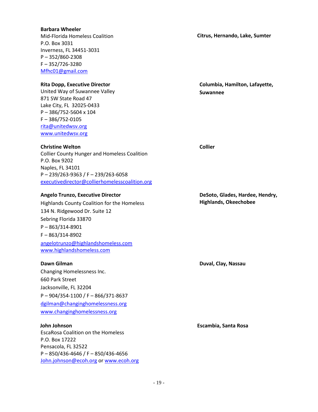## 871 SW State Road 47

**Rita Dopp, Executive Director** United Way of Suwannee Valley

Mid-Florida Homeless Coalition

Inverness, FL 34451-3031

Lake City, FL 32025-0433 P – 386/752-5604 x 104 F – 386/752-0105 [rita@unitedwsv.org](mailto:rita@unitedwsv.org) www.unitedwsv.org

#### **Christine Welton**

**Barbara Wheeler**

P – 352/860-2308 F – 352/726-3280 [Mfhc01@gmail.com](mailto:Mfhc01@gmail.com)

P.O. Box 3031

Collier County Hunger and Homeless Coalition P.O. Box 9202 Naples, FL 34101 P – 239/263-9363 / F – 239/263-6058 [executivedirector@collierhomelesscoalition.org](mailto:executivedirector@collierhomelesscoalition.org)

#### **Angelo Trunzo, Executive Director**

Highlands County Coalition for the Homeless 134 N. Ridgewood Dr. Suite 12 Sebring Florida 33870 P – 863/314-8901 F – 863/314-8902 angelotrunzo@highlandshomeless.com [www.highlandshomeless.com](http://www.highlandshomeless.com/)

#### **Dawn Gilman**

Changing Homelessness Inc. 660 Park Street Jacksonville, FL 32204 P – 904/354-1100 / F – 866/371-8637 [dgilman@changinghomelessness.org](mailto:dgilman@changinghomelessness.org) [www.changinghomelessness.org](http://www.changinghomelessness.org/)

#### **John Johnson**

EscaRosa Coalition on the Homeless P.O. Box 17222 Pensacola, FL 32522 P – 850/436-4646 / F – 850/436-4656 [John.johnson@ecoh.org](mailto:John.johnson@ecoh.org) o[r www.ecoh.org](http://www.ecoh.org/) **Citrus, Hernando, Lake, Sumter**

**Columbia, Hamilton, Lafayette, Suwannee**

**Collier**

**DeSoto, Glades, Hardee, Hendry, Highlands, Okeechobee**

**Duval, Clay, Nassau**

**Escambia, Santa Rosa**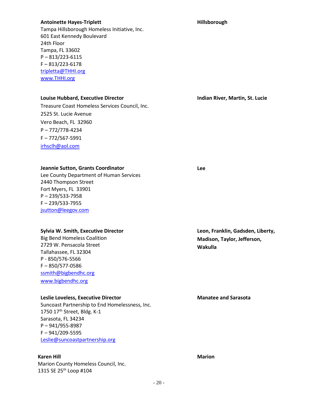#### **Antoinette Hayes-Triplett**

Tampa Hillsborough Homeless Initiative, Inc. 601 East Kennedy Boulevard 24th Floor Tampa, FL 33602 P – 813/223-6115 F – 813/223-6178 [tripletta@THHI.org](mailto:tripletta@THHI.org) [www.THHI.org](http://www.thhi.org/)

#### **Louise Hubbard, Executive Director**

Treasure Coast Homeless Services Council, Inc. 2525 St. Lucie Avenue Vero Beach, FL 32960 P – 772/778-4234 F – 772/567-5991 [irhsclh@aol.com](mailto:irhsclh@aol.com)

#### **Indian River, Martin, St. Lucie**

**Jeannie Sutton, Grants Coordinator**

Lee County Department of Human Services 2440 Thompson Street Fort Myers, FL 33901 P – 239/533-7958 F – 239/533-7955 [jsutton@leegov.com](mailto:jsutton@leegov.com)

#### **Sylvia W. Smith, Executive Director**

Big Bend Homeless Coalition 2729 W. Pensacola Street Tallahassee, FL 32304 P - 850/576-5566 F – 850/577-0586 [ssmith@bigbendhc.org](mailto:ssmith@bigbendhc.org) [www.bigbendhc.org](http://www.bigbendhc.org/)

#### **Leslie Loveless, Executive Director**

Suncoast Partnership to End Homelessness, Inc. 1750 17<sup>th</sup> Street, Bldg. K-1 Sarasota, FL 34234 P – 941/955-8987 F – 941/209-5595 [Leslie@suncoastpartnership.org](mailto:Leslie@suncoastpartnership.org)

#### **Karen Hill**

Marion County Homeless Council, Inc. 1315 SE 25th Loop #104

**Lee**

**Leon, Franklin, Gadsden, Liberty, Madison, Taylor, Jefferson, Wakulla**

**Manatee and Sarasota**

**Marion**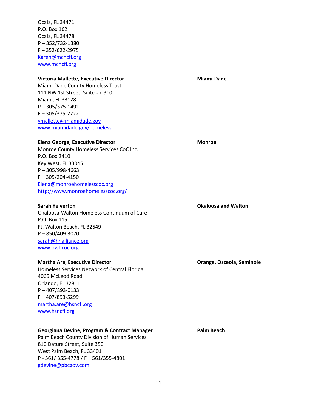Ocala, FL 34471 P.O. Box 162 Ocala, FL 34478 P – 352/732-1380 F – 352/622-2975 [Karen@mchcfl.org](mailto:Karen@mchcfl.org) [www.mchcfl.org](http://www.mchcfl.org/)

#### **Victoria Mallette, Executive Director**

Miami-Dade County Homeless Trust 111 NW 1st Street, Suite 27-310 Miami, FL 33128 P – 305/375-1491 F – 305/375-2722 [vmallette@miamidade.gov](mailto:vmallette@miamidade.gov) [www.miamidade.gov/homeless](http://www.miamidade.gov/homeless)

#### **Elena George, Executive Director**

Monroe County Homeless Services CoC Inc. P.O. Box 2410 Key West, FL 33045 P – 305/998-4663 F – 305/204-4150 [Elena@monroehomelesscoc.org](mailto:Elena@monroehomelesscoc.org) <http://www.monroehomelesscoc.org/>

#### **Sarah Yelverton**

Okaloosa-Walton Homeless Continuum of Care P.O. Box 115 Ft. Walton Beach, FL 32549 P – 850/409-3070 [sarah@hhalliance.org](mailto:sarah@hhalliance.org) [www.owhcoc.org](http://www.owhcoc.org/)

#### **Martha Are, Executive Director**

Homeless Services Network of Central Florida 4065 McLeod Road Orlando, FL 32811 P – 407/893-0133 F – 407/893-5299 [martha.are@hsncfl.org](mailto:martha.are@hsncfl.org) [www.hsncfl.org](http://www.hsncfl.org/)

#### **Georgiana Devine, Program & Contract Manager**

Palm Beach County Division of Human Services 810 Datura Street, Suite 350 West Palm Beach, FL 33401 P - 561/ 355-4778 / F – 561/355-4801 [gdevine@pbcgov.com](mailto:gdevine@pbcgov.com)

#### **Miami-Dade**

**Monroe**

**Okaloosa and Walton**

**Orange, Osceola, Seminole**

**Palm Beach**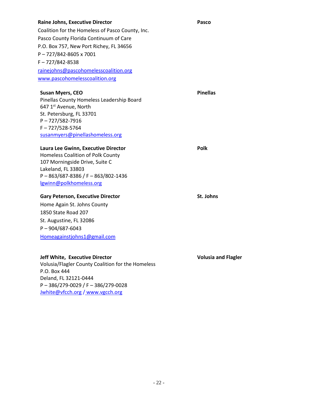#### **Raine Johns, Executive Director**

Coalition for the Homeless of Pasco County, Inc. Pasco County Florida Continuum of Care P.O. Box 757, New Port Richey, FL 34656 P – 727/842-8605 x 7001 F – 727/842-8538 [rainejohns@pascohomelesscoalition.org](mailto:rainejohns@pascohomelesscoalition.org) [www.pascohomelesscoalition.org](http://www.pascohomelesscoalition.org/)

#### **Susan Myers, CEO**

Pinellas County Homeless Leadership Board 647 1st Avenue, North St. Petersburg, FL 33701 P – 727/582-7916 F – 727/528-5764 [susanmyers@pinellashomeless.org](mailto:susanmyers@pinellashomeless.org)

#### **Laura Lee Gwinn, Executive Director**

Homeless Coalition of Polk County 107 Morningside Drive, Suite C Lakeland, FL 33803 P – 863/687-8386 / F – 863/802-1436 [lgwinn@polkhomeless.org](mailto:lgwinn@polkhomeless.org)

#### **Gary Peterson, Executive Director**

Home Again St. Johns County 1850 State Road 207 St. Augustine, FL 32086 P – 904/687-6043 [Homeagainstjohns1@gmail.com](mailto:Homeagainstjohns1@gmail.com)

#### **Jeff White, Executive Director**

Volusia/Flagler County Coalition for the Homeless P.O. Box 444 Deland, FL 32121-0444 P – 386/279-0029 / F – 386/279-0028 [Jwhite@vfcch.org](mailto:Jwhite@vfcch.org) / [www.vgcch.org](http://www.vgcch.org/)

**Volusia and Flagler**

**Polk** 

**St. Johns**

**Pinellas**

**Pasco**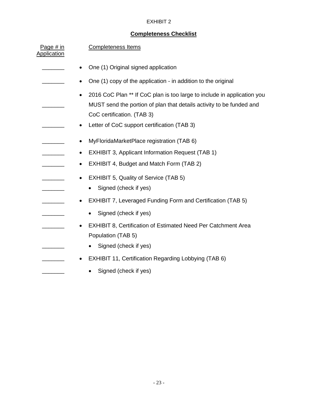## **Completeness Checklist**

| Page $# in$<br><b>Application</b> | <b>Completeness Items</b>                                                                                                                                                                  |
|-----------------------------------|--------------------------------------------------------------------------------------------------------------------------------------------------------------------------------------------|
|                                   | One (1) Original signed application<br>$\bullet$                                                                                                                                           |
|                                   | One (1) copy of the application - in addition to the original<br>٠                                                                                                                         |
|                                   | 2016 CoC Plan ** If CoC plan is too large to include in application you<br>$\bullet$<br>MUST send the portion of plan that details activity to be funded and<br>CoC certification. (TAB 3) |
|                                   | Letter of CoC support certification (TAB 3)<br>$\bullet$                                                                                                                                   |
|                                   | MyFloridaMarketPlace registration (TAB 6)<br>$\bullet$                                                                                                                                     |
|                                   | <b>EXHIBIT 3, Applicant Information Request (TAB 1)</b><br>$\bullet$                                                                                                                       |
|                                   | EXHIBIT 4, Budget and Match Form (TAB 2)<br>$\bullet$                                                                                                                                      |
|                                   | EXHIBIT 5, Quality of Service (TAB 5)<br>$\bullet$<br>Signed (check if yes)<br>٠                                                                                                           |
|                                   | <b>EXHIBIT 7, Leveraged Funding Form and Certification (TAB 5)</b><br>٠                                                                                                                    |
|                                   | Signed (check if yes)                                                                                                                                                                      |
|                                   | <b>EXHIBIT 8, Certification of Estimated Need Per Catchment Area</b><br>$\bullet$<br>Population (TAB 5)                                                                                    |
|                                   | Signed (check if yes)                                                                                                                                                                      |
|                                   | <b>EXHIBIT 11, Certification Regarding Lobbying (TAB 6)</b>                                                                                                                                |
|                                   | Signed (check if yes)                                                                                                                                                                      |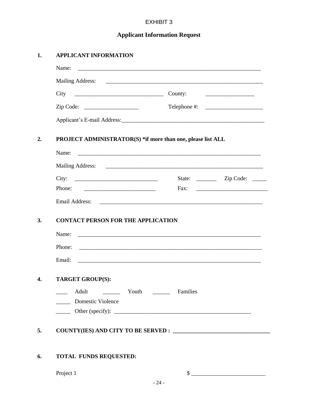## **Applicant Information Request**

| Name:                                                                                 |                                                                                                                                    |
|---------------------------------------------------------------------------------------|------------------------------------------------------------------------------------------------------------------------------------|
| <b>Mailing Address:</b>                                                               |                                                                                                                                    |
|                                                                                       | County:<br><u> The Communication of the Communication of the Communication of the Communication of the Communication of the Co</u> |
| Zip Code:                                                                             | $\text{Telephone } \#:$                                                                                                            |
|                                                                                       |                                                                                                                                    |
|                                                                                       | PROJECT ADMINISTRATOR(S) *if more than one, please list ALL                                                                        |
| Name:                                                                                 |                                                                                                                                    |
|                                                                                       |                                                                                                                                    |
| City: $\qquad \qquad \qquad$                                                          | State: <u>_________</u> Zip Code: ______                                                                                           |
| Phone:                                                                                | Fax:<br><u> 2008 - Jan James James Barnett, mars and de la partie de la partie de la partie de la partie de la partie de</u>       |
|                                                                                       |                                                                                                                                    |
| <b>CONTACT PERSON FOR THE APPLICATION</b>                                             |                                                                                                                                    |
|                                                                                       | <u> 1999 - Jan James James James James James James James James James James James James James James James James J</u>               |
|                                                                                       |                                                                                                                                    |
|                                                                                       |                                                                                                                                    |
| Adult                                                                                 |                                                                                                                                    |
| Domestic Violence                                                                     |                                                                                                                                    |
|                                                                                       |                                                                                                                                    |
|                                                                                       |                                                                                                                                    |
| Name:<br>Phone:<br>Email:<br><b>TARGET GROUP(S):</b><br><b>TOTAL FUNDS REQUESTED:</b> |                                                                                                                                    |
| Project 1                                                                             |                                                                                                                                    |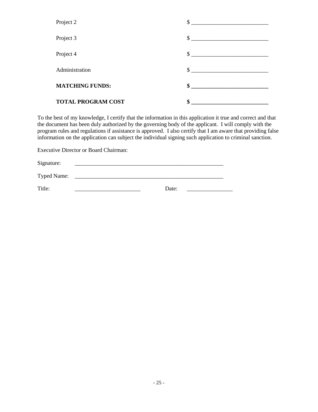| <b>TOTAL PROGRAM COST</b> | \$                                                |
|---------------------------|---------------------------------------------------|
| <b>MATCHING FUNDS:</b>    | \$                                                |
| Administration            | \$<br><u> 1986 - Johann Barnett, fransk konge</u> |
| Project 4                 | $\sim$                                            |
| Project 3                 |                                                   |
| Project 2                 | \$                                                |

To the best of my knowledge, I certify that the information in this application it true and correct and that the document has been duly authorized by the governing body of the applicant. I will comply with the program rules and regulations if assistance is approved. I also certify that I am aware that providing false information on the application can subject the individual signing such application to criminal sanction.

Executive Director or Board Chairman:

| Signature:         |       |  |
|--------------------|-------|--|
| <b>Typed Name:</b> |       |  |
| Title:             | Date: |  |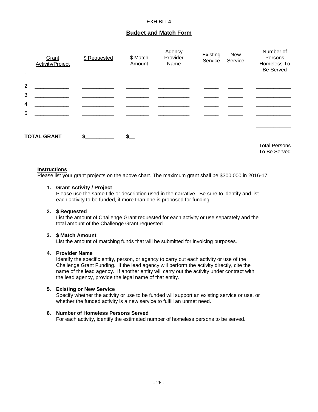#### **Budget and Match Form**

|                | Grant<br>Activity/Project | \$ Requested | \$ Match<br>Amount | Agency<br>Provider<br>Name | Existing<br>Service | New<br>Service | Number of<br>Persons<br>Homeless To<br><b>Be Served</b> |
|----------------|---------------------------|--------------|--------------------|----------------------------|---------------------|----------------|---------------------------------------------------------|
| $\mathbf 1$    |                           |              |                    |                            |                     |                |                                                         |
| $\overline{2}$ |                           |              |                    |                            |                     |                |                                                         |
| 3              |                           |              |                    |                            |                     |                |                                                         |
| 4              |                           |              |                    |                            |                     |                |                                                         |
| 5              |                           |              |                    |                            |                     |                |                                                         |
|                |                           |              |                    |                            |                     |                |                                                         |
|                | <b>TOTAL GRANT</b>        | S.           | $\mathbf{s}$       |                            |                     |                |                                                         |
|                |                           |              |                    |                            |                     |                | <b>Total Persons</b><br>To Be Served                    |

#### **Instructions**

Please list your grant projects on the above chart. The maximum grant shall be \$300,000 in 2016-17.

#### **1. Grant Activity / Project**

Please use the same title or description used in the narrative. Be sure to identify and list each activity to be funded, if more than one is proposed for funding.

#### **2. \$ Requested**

List the amount of Challenge Grant requested for each activity or use separately and the total amount of the Challenge Grant requested.

#### **3. \$ Match Amount**

List the amount of matching funds that will be submitted for invoicing purposes.

#### **4. Provider Name**

Identify the specific entity, person, or agency to carry out each activity or use of the Challenge Grant Funding. If the lead agency will perform the activity directly, cite the name of the lead agency. If another entity will carry out the activity under contract with the lead agency, provide the legal name of that entity.

#### **5. Existing or New Service**

Specify whether the activity or use to be funded will support an existing service or use, or whether the funded activity is a new service to fulfill an unmet need.

#### **6. Number of Homeless Persons Served**

For each activity, identify the estimated number of homeless persons to be served.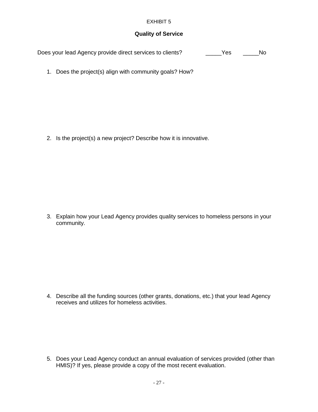## **Quality of Service**

Does your lead Agency provide direct services to clients? \_\_\_\_\_Yes \_\_\_\_\_No

1. Does the project(s) align with community goals? How?

2. Is the project(s) a new project? Describe how it is innovative.

3. Explain how your Lead Agency provides quality services to homeless persons in your community.

4. Describe all the funding sources (other grants, donations, etc.) that your lead Agency receives and utilizes for homeless activities.

5. Does your Lead Agency conduct an annual evaluation of services provided (other than HMIS)? If yes, please provide a copy of the most recent evaluation.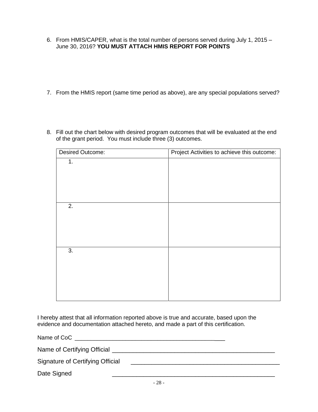- 6. From HMIS/CAPER, what is the total number of persons served during July 1, 2015 June 30, 2016? **YOU MUST ATTACH HMIS REPORT FOR POINTS**
- 7. From the HMIS report (same time period as above), are any special populations served?
- 8. Fill out the chart below with desired program outcomes that will be evaluated at the end of the grant period. You must include three (3) outcomes.

| Desired Outcome: | Project Activities to achieve this outcome: |
|------------------|---------------------------------------------|
| 1.               |                                             |
|                  |                                             |
|                  |                                             |
|                  |                                             |
| 2.               |                                             |
|                  |                                             |
|                  |                                             |
|                  |                                             |
| 3.               |                                             |
|                  |                                             |
|                  |                                             |
|                  |                                             |
|                  |                                             |

I hereby attest that all information reported above is true and accurate, based upon the evidence and documentation attached hereto, and made a part of this certification.

Name of CoC \_\_\_\_\_\_\_\_\_\_\_\_\_\_\_\_\_\_\_\_\_\_\_\_\_\_\_\_\_\_\_\_\_\_\_\_\_\_\_\_\_\_\_\_\_\_\_

Name of Certifying Official \_\_\_\_\_\_\_\_\_\_\_\_\_\_\_\_\_\_\_\_\_\_\_\_\_\_\_\_\_\_\_\_\_\_\_\_\_\_\_\_\_\_\_\_\_\_\_

Signature of Certifying Official \_\_\_\_\_\_\_\_\_\_\_\_\_\_\_\_\_\_\_\_\_\_\_\_\_\_\_\_\_\_\_\_\_\_\_\_\_\_\_\_\_\_\_

Date Signed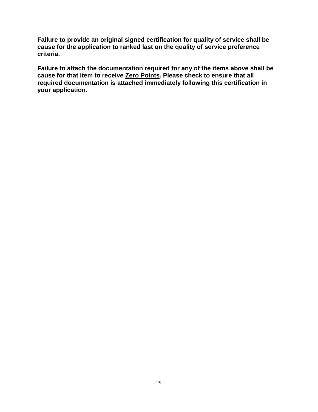**Failure to provide an original signed certification for quality of service shall be cause for the application to ranked last on the quality of service preference criteria.** 

**Failure to attach the documentation required for any of the items above shall be cause for that item to receive Zero Points. Please check to ensure that all required documentation is attached immediately following this certification in your application.**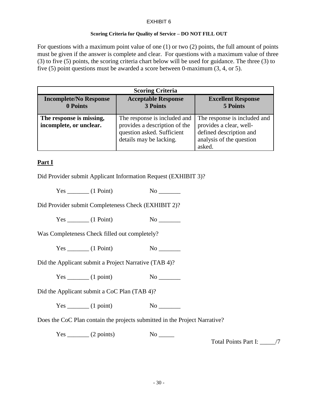#### **Scoring Criteria for Quality of Service – DO NOT FILL OUT**

For questions with a maximum point value of one (1) or two (2) points, the full amount of points must be given if the answer is complete and clear. For questions with a maximum value of three (3) to five (5) points, the scoring criteria chart below will be used for guidance. The three (3) to five (5) point questions must be awarded a score between 0-maximum (3, 4, or 5).

| <b>Scoring Criteria</b>                             |                                                                                                                        |                                                                                                                          |  |  |
|-----------------------------------------------------|------------------------------------------------------------------------------------------------------------------------|--------------------------------------------------------------------------------------------------------------------------|--|--|
| <b>Incomplete/No Response</b><br>0 Points           | <b>Acceptable Response</b><br>3 Points                                                                                 | <b>Excellent Response</b><br>5 Points                                                                                    |  |  |
| The response is missing,<br>incomplete, or unclear. | The response is included and<br>provides a description of the<br>question asked. Sufficient<br>details may be lacking. | The response is included and<br>provides a clear, well-<br>defined description and<br>analysis of the question<br>asked. |  |  |

## **Part I**

Did Provider submit Applicant Information Request (EXHIBIT 3)?

 $Yes \t(1 Point) \tNo \t(1 Point)$ 

Did Provider submit Completeness Check (EXHIBIT 2)?

 $Yes \_\_ (1 Point)$  No  $\_\_$ 

Was Completeness Check filled out completely?

Yes \_\_\_\_\_\_\_\_ (1 Point) No \_\_\_\_\_\_\_

Did the Applicant submit a Project Narrative (TAB 4)?

 $Yes \_\_ (1 point)$  No  $\_\_$ 

Did the Applicant submit a CoC Plan (TAB 4)?

 $Yes \_\_ (1 point)$  No  $\_\_$ 

Does the CoC Plan contain the projects submitted in the Project Narrative?

 $Yes \_\_\_\_\_\$ (2 points)  $No \_\_\_\_\$ 

Total Points Part I: \_\_\_\_\_/7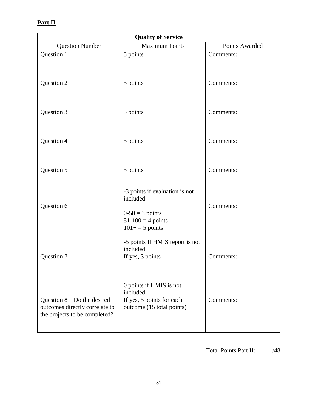| <b>Quality of Service</b>                                                                        |                                                                                                          |                |  |  |
|--------------------------------------------------------------------------------------------------|----------------------------------------------------------------------------------------------------------|----------------|--|--|
| <b>Question Number</b>                                                                           | Maximum Points                                                                                           | Points Awarded |  |  |
| Question 1                                                                                       | 5 points                                                                                                 | Comments:      |  |  |
| Question 2                                                                                       | 5 points                                                                                                 | Comments:      |  |  |
| Question 3                                                                                       | 5 points                                                                                                 | Comments:      |  |  |
| Question 4                                                                                       | 5 points                                                                                                 | Comments:      |  |  |
| Question 5                                                                                       | 5 points<br>-3 points if evaluation is not<br>included                                                   | Comments:      |  |  |
| Question 6                                                                                       | $0-50=3$ points<br>$51-100 = 4$ points<br>$101+=5$ points<br>-5 points If HMIS report is not<br>included | Comments:      |  |  |
| Question 7                                                                                       | If yes, 3 points<br>0 points if HMIS is not<br>included                                                  | Comments:      |  |  |
| Question $8 - Do$ the desired<br>outcomes directly correlate to<br>the projects to be completed? | If yes, 5 points for each<br>outcome (15 total points)                                                   | Comments:      |  |  |

Total Points Part II: \_\_\_\_\_/48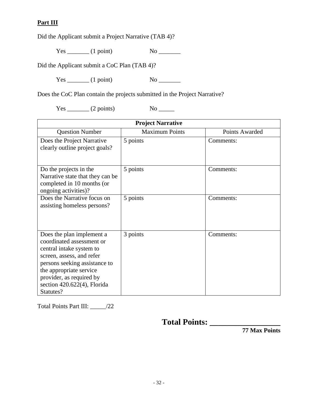## **Part III**

Did the Applicant submit a Project Narrative (TAB 4)?

 $Yes \_\_ (1 point)$  No  $\_\_$ 

Did the Applicant submit a CoC Plan (TAB 4)?

 $Yes \_\_ (1 point)$  No  $\_\_$ 

Does the CoC Plan contain the projects submitted in the Project Narrative?

 $Yes \_\_ (2 points)$  No  $\_\_$ 

**Project Narrative** Question Number | Maximum Points | Points Awarded Does the Project Narrative clearly outline project goals? 5 points Comments: Do the projects in the Narrative state that they can be completed in 10 months (or ongoing activities)? 5 points Comments: Does the Narrative focus on assisting homeless persons? 5 points Comments: Does the plan implement a coordinated assessment or central intake system to screen, assess, and refer persons seeking assistance to the appropriate service provider, as required by section 420.622(4), Florida Statutes? 3 points Comments:

Total Points Part III: \_\_\_\_\_/22

**Total Points: \_\_\_\_\_\_\_\_\_\_\_\_\_\_\_\_\_**

**77 Max Points**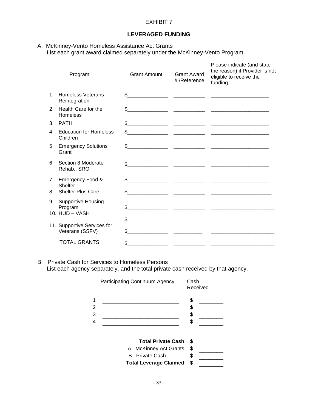## **LEVERAGED FUNDING**

A. McKinney-Vento Homeless Assistance Act Grants List each grant award claimed separately under the McKinney-Vento Program.

|                | Program                                        | <b>Grant Amount</b> | <b>Grant Award</b><br># /Reference                                                                                    | Please indicate (and state<br>the reason) if Provider is not<br>eligible to receive the<br>funding |
|----------------|------------------------------------------------|---------------------|-----------------------------------------------------------------------------------------------------------------------|----------------------------------------------------------------------------------------------------|
| 1 <sub>1</sub> | <b>Homeless Veterans</b><br>Reintegration      | $\mathbb{S}$        |                                                                                                                       |                                                                                                    |
| 2.             | Health Care for the<br><b>Homeless</b>         | \$                  |                                                                                                                       |                                                                                                    |
| 3.             | <b>PATH</b>                                    | \$                  |                                                                                                                       |                                                                                                    |
| 4.             | <b>Education for Homeless</b><br>Children      | \$                  |                                                                                                                       |                                                                                                    |
|                | 5. Emergency Solutions<br>Grant                | \$                  |                                                                                                                       |                                                                                                    |
| 6.             | Section 8 Moderate<br>Rehab., SRO              | \$                  | <u> 1989 - Johann Marie Barn, mars eta industrial eta industrial eta industrial eta industrial eta industrial eta</u> |                                                                                                    |
|                | 7. Emergency Food &<br>Shelter                 | \$                  |                                                                                                                       |                                                                                                    |
|                | 8. Shelter Plus Care                           | \$                  |                                                                                                                       |                                                                                                    |
| 9.             | <b>Supportive Housing</b><br>Program           | \$                  |                                                                                                                       |                                                                                                    |
|                | 10. $HUD - VASH$                               | \$                  |                                                                                                                       |                                                                                                    |
|                | 11. Supportive Services for<br>Veterans (SSFV) | \$                  |                                                                                                                       |                                                                                                    |
|                | <b>TOTAL GRANTS</b>                            | \$                  |                                                                                                                       |                                                                                                    |

B. Private Cash for Services to Homeless Persons List each agency separately, and the total private cash received by that agency.

Participating Continuum Agency Cash

Received

- $\begin{array}{cccc} 1 & \text{---} & \text{---} & \text{---} \\ 2 & \text{---} & \text{---} & \text{---} \end{array}$ 2 \_\_\_\_\_\_\_\_\_\_\_\_\_\_\_\_\_\_\_\_\_\_ \$ \_\_\_\_\_\_\_
- $\begin{array}{c} 3 \\ 4 \end{array}$   $\begin{array}{c} \begin{array}{c} 3 \\ \end{array} \end{array}$ 4 \_\_\_\_\_\_\_\_\_\_\_\_\_\_\_\_\_\_\_\_\_\_ \$ \_\_\_\_\_\_\_

## **Total Private Cash** \$ \_\_\_\_\_\_\_

- A. McKinney Act Grants \$ \_\_\_\_\_\_\_
- B. Private Cash  $\frac{1}{2}$

**Total Leverage Claimed** \$ \_\_\_\_\_\_\_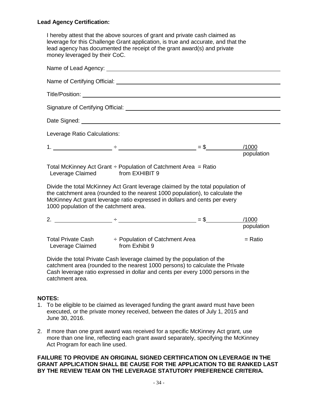## **Lead Agency Certification:**

I hereby attest that the above sources of grant and private cash claimed as leverage for this Challenge Grant application, is true and accurate, and that the lead agency has documented the receipt of the grant award(s) and private money leveraged by their CoC.

| Leverage Ratio Calculations:                                                                                                                                                                                                                                                             |                                                                      |  |                     |  |  |
|------------------------------------------------------------------------------------------------------------------------------------------------------------------------------------------------------------------------------------------------------------------------------------------|----------------------------------------------------------------------|--|---------------------|--|--|
|                                                                                                                                                                                                                                                                                          |                                                                      |  | population          |  |  |
| Leverage Claimed from EXHIBIT 9                                                                                                                                                                                                                                                          | Total McKinney Act Grant $\div$ Population of Catchment Area = Ratio |  |                     |  |  |
| Divide the total McKinney Act Grant leverage claimed by the total population of<br>the catchment area (rounded to the nearest 1000 population), to calculate the<br>McKinney Act grant leverage ratio expressed in dollars and cents per every<br>1000 population of the catchment area. |                                                                      |  |                     |  |  |
|                                                                                                                                                                                                                                                                                          |                                                                      |  | /1000<br>population |  |  |
| Total Private Cash $\div$ Population of Catchment Area<br>$=$ Ratio<br>from Exhibit 9<br>Leverage Claimed                                                                                                                                                                                |                                                                      |  |                     |  |  |
| Divide the total Private Cash leverage claimed by the population of the                                                                                                                                                                                                                  |                                                                      |  |                     |  |  |

catchment area (rounded to the nearest 1000 persons) to calculate the Private Cash leverage ratio expressed in dollar and cents per every 1000 persons in the catchment area.

## **NOTES:**

- 1. To be eligible to be claimed as leveraged funding the grant award must have been executed, or the private money received, between the dates of July 1, 2015 and June 30, 2016.
- 2. If more than one grant award was received for a specific McKinney Act grant, use more than one line, reflecting each grant award separately, specifying the McKinney Act Program for each line used.

#### **FAILURE TO PROVIDE AN ORIGINAL SIGNED CERTIFICATION ON LEVERAGE IN THE GRANT APPLICATION SHALL BE CAUSE FOR THE APPLICATION TO BE RANKED LAST BY THE REVIEW TEAM ON THE LEVERAGE STATUTORY PREFERENCE CRITERIA.**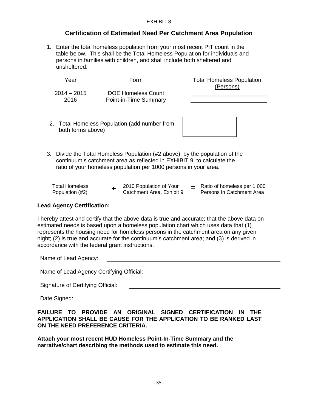## **Certification of Estimated Need Per Catchment Area Population**

1. Enter the total homeless population from your most recent PIT count in the table below. This shall be the Total Homeless Population for individuals and persons in families with children, and shall include both sheltered and unsheltered.

| Year                  | Form                                               | <b>Total Homeless Population</b><br>(Persons) |
|-----------------------|----------------------------------------------------|-----------------------------------------------|
| $2014 - 2015$<br>2016 | <b>DOE Homeless Count</b><br>Point-in-Time Summary |                                               |
| both forms above)     | 2. Total Homeless Population (add number from      |                                               |

3. Divide the Total Homeless Population (#2 above), by the population of the continuum's catchment area as reflected in EXHIBIT 9, to calculate the ratio of your homeless population per 1000 persons in your area.

| Total Homeless  | 2010 Population of Your   | Ratio of homeless per 1,000 |
|-----------------|---------------------------|-----------------------------|
| Population (#2) | Catchment Area, Exhibit 9 | Persons in Catchment Area   |

#### **Lead Agency Certification:**

I hereby attest and certify that the above data is true and accurate; that the above data on estimated needs is based upon a homeless population chart which uses data that (1) represents the housing need for homeless persons in the catchment area on any given night; (2) is true and accurate for the continuum's catchment area; and (3) is derived in accordance with the federal grant instructions.

Name of Lead Agency:

Name of Lead Agency Certifying Official:

Signature of Certifying Official:

Date Signed:

**FAILURE TO PROVIDE AN ORIGINAL SIGNED CERTIFICATION IN THE APPLICATION SHALL BE CAUSE FOR THE APPLICATION TO BE RANKED LAST ON THE NEED PREFERENCE CRITERIA.**

**Attach your most recent HUD Homeless Point-In-Time Summary and the narrative/chart describing the methods used to estimate this need.**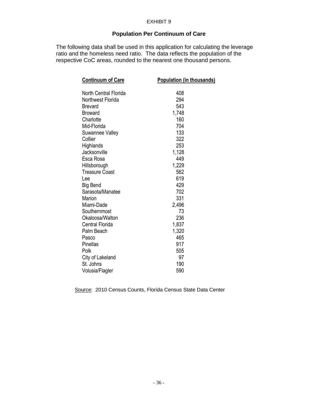## **Population Per Continuum of Care**

The following data shall be used in this application for calculating the leverage ratio and the homeless need ratio. The data reflects the population of the respective CoC areas, rounded to the nearest one thousand persons.

| <b>Continuum of Care</b>     | <b>Population (in thousands)</b> |
|------------------------------|----------------------------------|
|                              |                                  |
| <b>North Central Florida</b> | 408                              |
| Northwest Florida            | 294                              |
| <b>Brevard</b>               | 543                              |
| <b>Broward</b>               | 1,748                            |
| Charlotte                    | 160                              |
| Mid-Florida                  | 704                              |
| Suwannee Valley              | 133                              |
| Collier                      | 322                              |
| Highlands                    | 253                              |
| Jacksonville                 | 1,128                            |
| Esca Rosa                    | 449                              |
| Hillsborough                 | 1,229                            |
| <b>Treasure Coast</b>        | 562                              |
| Lee                          | 619                              |
| <b>Big Bend</b>              | 429                              |
| Sarasota/Manatee             | 702                              |
| Marion                       | 331                              |
| Miami-Dade                   | 2,496                            |
| Southernmost                 | 73                               |
| Okaloosa/Walton              | 236                              |
| Central Florida              | 1,837                            |
| Palm Beach                   | 1,320                            |
| Pasco                        | 465                              |
| Pinellas                     | 917                              |
| Polk                         | 505                              |
| City of Lakeland             | 97                               |
| St. Johns                    | 190                              |
| Volusia/Flagler              | 590                              |
|                              |                                  |

Source: 2010 Census Counts, Florida Census State Data Center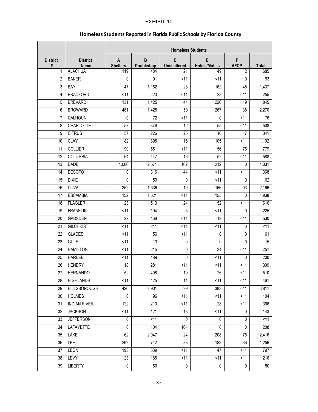## **Homeless Students Reported in Florida Public Schools by Florida County**

|                      |                                | <b>Homeless Students</b> |                  |                         |                           |                  |                |
|----------------------|--------------------------------|--------------------------|------------------|-------------------------|---------------------------|------------------|----------------|
| <b>District</b><br># | <b>District</b><br><b>Name</b> | A<br><b>Shelters</b>     | B<br>Doubled-up  | D<br><b>Unsheltered</b> | Е<br><b>Hotels/Motels</b> | F<br><b>AFCP</b> | <b>Total</b>   |
| $\mathbf{1}$         | <b>ALACHUA</b>                 | 119                      | 484              | 21                      | 49                        | 12               | 685            |
| $\overline{2}$       | <b>BAKER</b>                   | 0                        | 91               | <11                     | $<$ 11                    | 0                | 93             |
| 3                    | <b>BAY</b>                     | $\overline{47}$          | 1,152            | $\overline{28}$         | 162                       | 48               | 1,437          |
| 4                    | <b>BRADFORD</b>                | $\overline{511}$         | 220              | $\overline{5}$          | $\overline{28}$           | $\overline{5}$   | 255            |
| 5                    | <b>BREVARD</b>                 | 131                      | 1,425            | 44                      | 226                       | 19               | 1,845          |
| 6                    | <b>BROWARD</b>                 | 481                      | 1,425            | 59                      | 267                       | $\overline{38}$  | 2,270          |
| 7                    | CALHOUN                        | $\mathbf 0$              | 72               | 11                      | 0                         | < 11             | 76             |
| 8                    | <b>CHARLOTTE</b>               | 58                       | 376              | $\overline{12}$         | $\overline{55}$           | $\overline{511}$ | 508            |
| 9                    | <b>CITRUS</b>                  | $\overline{57}$          | 226              | $\overline{25}$         | 16                        | $\overline{17}$  | 341            |
| 10                   | <b>CLAY</b>                    | 82                       | 895              | 16                      | 105                       | $\overline{5}$   | 1,102          |
| 11                   | <b>COLLIER</b>                 | 90                       | 551              | $\overline{5}$          | $\overline{56}$           | $\overline{75}$  | 779            |
| 12                   | <b>COLUMBIA</b>                | 64                       | 447              | 16                      | 52                        | $\overline{5}$   | 588            |
| $\overline{13}$      | <b>DADE</b>                    | 1,086                    | 2,571            | 162                     | $\overline{212}$          | 0                | 4,031          |
| 14                   | <b>DESOTO</b>                  | $\overline{0}$           | 316              | 44                      | $\overline{5}$            | $\overline{5}$   | 368            |
| 15                   | <b>DIXIE</b>                   | $\mathbf 0$              | 59               | 0                       | < 11                      | 0                | 62             |
| 16                   | <b>DUVAL</b>                   | 352                      | 1,536            | 19                      | 166                       | 93               | 2,166          |
| 17                   | <b>ESCAMBIA</b>                | 152                      | 1,621            | $<$ 11                  | 155                       | 0                | 1,938          |
| 18                   | <b>FLAGLER</b>                 | $\overline{23}$          | 513              | $\overline{24}$         | 52                        | $\overline{5}$   | 616            |
| 19                   | <b>FRANKLIN</b>                | $\overline{511}$         | 194              | $\overline{25}$         | $\overline{5}$            | 0                | 225            |
| 20                   | <b>GADSDEN</b>                 | $\overline{27}$          | 468              | $\overline{511}$        | 19                        | $\overline{5}$   | 530            |
| 21                   | <b>GILCHRIST</b>               | $\overline{5}$           | $\overline{5}$   | $\overline{5}$          | $\overline{5}$            | 0                | $\overline{5}$ |
| 22                   | <b>GLADES</b>                  | $\overline{31}$          | 56               | $\overline{511}$        | 0                         | 0                | 61             |
| 23                   | <b>GULF</b>                    | <11                      | 13               | 0                       | 0                         | 0                | 15             |
| 24                   | <b>HAMILTON</b>                | $\overline{511}$         | 215              | 0                       | 34                        | $\overline{511}$ | 251            |
| 25                   | <b>HARDEE</b>                  | $\overline{511}$         | 189              | 0                       | $\overline{5}$            | 0                | 200            |
| 26                   | <b>HENDRY</b>                  | 18                       | 281              | <11                     | $\overline{5}$            | $\overline{511}$ | 309            |
| 27                   | <b>HERNANDO</b>                | 52                       | 408              | 19                      | $\overline{26}$           | $\overline{5}$   | 510            |
| 28                   | <b>HIGHLANDS</b>               | $<$ 11                   | 425              | 11                      | $11$                      | <11              | 461            |
| 29                   | <b>HILLSBOROUGH</b>            | 420                      | 2,901            | 99                      | 383                       | $\overline{5}$   | 3,811          |
| 30                   | <b>HOLMES</b>                  | $\pmb{0}$                | 96               | <11                     | $\overline{5}$            | $\overline{5}$   | 104            |
| 31                   | <b>INDIAN RIVER</b>            | 122                      | 210              | $11$                    | 28                        | < 11             | 366            |
| 32                   | <b>JACKSON</b>                 | 11                       | 121              | 13                      | $\overline{5}$            | 0                | 143            |
| 33                   | <b>JEFFERSON</b>               | 0                        | $<$ 11           | 0                       | $\pmb{0}$                 | 0                | $<$ 11         |
| 34                   | <b>LAFAYETTE</b>               | $\mathbf 0$              | 104              | 104                     | $\mathbf 0$               | 0                | 208            |
| 35                   | LAKE                           | 62                       | 2,047            | 24                      | 208                       | 75               | 2,416          |
| 36                   | <b>LEE</b>                     | 262                      | $\overline{742}$ | 33                      | 183                       | $\overline{36}$  | 1,256          |
| 37                   | <b>LEON</b>                    | 193                      | 539              | < 11                    | 47                        | 11               | 797            |
| 38                   | LEVY                           | $\overline{23}$          | 185              | <11                     | $\overline{5}$            | $\overline{5}$   | 216            |
| 39                   | <b>LIBERTY</b>                 | $\pmb{0}$                | $50\,$           | $\pmb{0}$               | $\overline{0}$            | $\pmb{0}$        | 50             |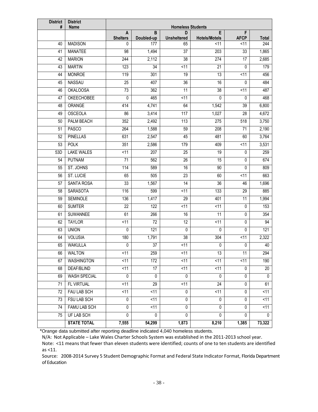| <b>District</b><br># | <b>District</b><br><b>Name</b> | <b>Homeless Students</b>           |                   |                          |                                |                    |                     |
|----------------------|--------------------------------|------------------------------------|-------------------|--------------------------|--------------------------------|--------------------|---------------------|
|                      |                                | $\overline{B}$<br>E<br>F<br>A<br>D |                   |                          |                                |                    |                     |
| 40                   | <b>MADISON</b>                 | <b>Shelters</b><br>0               | Doubled-up<br>177 | <b>Unsheltered</b><br>65 | <b>Hotels/Motels</b><br>$<$ 11 | <b>AFCP</b><br><11 | <b>Total</b><br>244 |
| 41                   | <b>MANATEE</b>                 | 98                                 | 1,494             | $\overline{37}$          | $\overline{203}$               | 33                 | 1,865               |
| 42                   | <b>MARION</b>                  | 244                                | 2,112             | $\overline{38}$          | $\overline{274}$               | $\overline{17}$    | 2,685               |
| 43                   | <b>MARTIN</b>                  | 123                                | $\overline{34}$   | $\overline{5}$           | $\overline{21}$                | $\mathbf{0}$       | 179                 |
| 44                   | <b>MONROE</b>                  | 119                                | 301               | 19                       | 13                             | $\overline{511}$   | 456                 |
| 45                   | <b>NASSAU</b>                  | 25                                 | 407               | 36                       | 16                             | 0                  | 484                 |
| 46                   | <b>OKALOOSA</b>                | $\overline{73}$                    | 362               | $\overline{11}$          | $\overline{38}$                | $\overline{511}$   | 487                 |
| 47                   | <b>OKEECHOBEE</b>              | $\mathbf{0}$                       | 465               | $\overline{511}$         | 0                              | 0                  | 468                 |
| 48                   | <b>ORANGE</b>                  | 414                                | 4,741             | 64                       | 1,542                          | $\overline{39}$    | 6,800               |
| 49                   | <b>OSCEOLA</b>                 | 86                                 | 3,414             | 117                      | 1,027                          | $\overline{28}$    | 4,672               |
| 50                   | PALM BEACH                     | 352                                | 2,492             | 113                      | 275                            | $\overline{518}$   | 3,750               |
| 51                   | <b>PASCO</b>                   | 264                                | 1,588             | 59                       | 208                            | 71                 | 2,190               |
| 52                   | <b>PINELLAS</b>                | 631                                | 2,547             | 45                       | 481                            | 60                 | 3,764               |
| 53                   | <b>POLK</b>                    | 351                                | 2,586             | 179                      | 409                            | $\overline{511}$   | 3,531               |
| 53D                  | <b>LAKE WALES</b>              | $\overline{5}$                     | 207               | $\overline{25}$          | 19                             | 0                  | 259                 |
| 54                   | <b>PUTNAM</b>                  | $\overline{71}$                    | 562               | 26                       | 15                             | 0                  | 674                 |
| 55                   | ST. JOHNS                      | 114                                | 589               | 16                       | 90                             | 0                  | 809                 |
| 56                   | <b>ST. LUCIE</b>               | 65                                 | 505               | $\overline{23}$          | 60                             | <11                | 663                 |
| 57                   | <b>SANTA ROSA</b>              | 33                                 | 1,567             | $\overline{14}$          | 36                             | 46                 | 1,696               |
| 58                   | <b>SARASOTA</b>                | 116                                | 599               | <11                      | 133                            | 29                 | 885                 |
| 59                   | <b>SEMINOLE</b>                | 136                                | 1,417             | 29                       | 401                            | 11                 | 1,994               |
| 60                   | <b>SUMTER</b>                  | 22                                 | 122               | < 11                     | <11                            | 0                  | 153                 |
| 61                   | <b>SUWANNEE</b>                | 61                                 | 266               | 16                       | $\overline{11}$                | 0                  | 354                 |
| 62                   | <b>TAYLOR</b>                  | 11                                 | 72                | 12                       | 11                             | 0                  | 94                  |
| 63                   | <b>UNION</b>                   | 0                                  | 121               | $\mathbf 0$              | 0                              | 0                  | 121                 |
| 64                   | <b>VOLUSIA</b>                 | 180                                | 1,791             | $\overline{38}$          | 304                            | <11                | 2,322               |
| 65                   | WAKULLA                        | 0                                  | $\overline{37}$   | $\overline{5}$           | 0                              | 0                  | 40                  |
| 66                   | <b>WALTON</b>                  | <11                                | 259               | <11                      | 13                             | 11                 | 294                 |
| 67                   | <b>WASHINGTON</b>              | < 11                               | 172               | < 11                     | $11$                           | $11$               | 190                 |
| 68                   | <b>DEAF/BLIND</b>              | < 11                               | 17                | < 11                     | < 11                           | 0                  | 20                  |
| 69                   | <b>WASH SPECIAL</b>            | 0                                  | $\mathbf{0}$      | $\mathbf{0}$             | 0                              | 0                  | $\mathbf 0$         |
| 71                   | FL VIRTUAL                     | $11$                               | 29                | < 11                     | 24                             | 0                  | 61                  |
| 72                   | FAU LAB SCH                    | $\overline{5}$                     | $\overline{5}$    | $\mathbf{0}$             | <11                            | 0                  | $\overline{5}$      |
| 73                   | FSU LAB SCH                    | 0                                  | <11               | $\pmb{0}$                | $\mathbf{0}$                   | 0                  | $<$ 11              |
| 74                   | <b>FAMU LAB SCH</b>            | 0                                  | $\overline{5}$    | 0                        | 0                              | 0                  | $\overline{5}$      |
| 75                   | UF LAB SCH                     | 0                                  | 0                 | 0                        | 0                              | 0                  | 0                   |
|                      | <b>STATE TOTAL</b>             | 7,555                              | 54,299            | 1,873                    | 8,210                          | 1,385              | 73,322              |

\*Orange data submitted after reporting deadline indicated 4,040 homeless students.

N/A: Not Applicable – Lake Wales Charter Schools System was established in the 2011-2013 school year.

Note: <11 means that fewer than eleven students were identified; counts of one to ten students are identified as <11.

Source: 2008-2014 Survey 5 Student Demographic Format and Federal State Indicator Format, Florida Department of Education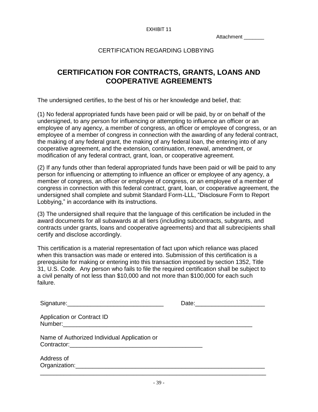Attachment \_\_\_\_\_

## CERTIFICATION REGARDING LOBBYING

## **CERTIFICATION FOR CONTRACTS, GRANTS, LOANS AND COOPERATIVE AGREEMENTS**

The undersigned certifies, to the best of his or her knowledge and belief, that:

(1) No federal appropriated funds have been paid or will be paid, by or on behalf of the undersigned, to any person for influencing or attempting to influence an officer or an employee of any agency, a member of congress, an officer or employee of congress, or an employee of a member of congress in connection with the awarding of any federal contract, the making of any federal grant, the making of any federal loan, the entering into of any cooperative agreement, and the extension, continuation, renewal, amendment, or modification of any federal contract, grant, loan, or cooperative agreement.

(2) If any funds other than federal appropriated funds have been paid or will be paid to any person for influencing or attempting to influence an officer or employee of any agency, a member of congress, an officer or employee of congress, or an employee of a member of congress in connection with this federal contract, grant, loan, or cooperative agreement, the undersigned shall complete and submit Standard Form-LLL, "Disclosure Form to Report Lobbying," in accordance with its instructions.

(3) The undersigned shall require that the language of this certification be included in the award documents for all subawards at all tiers (including subcontracts, subgrants, and contracts under grants, loans and cooperative agreements) and that all subrecipients shall certify and disclose accordingly.

This certification is a material representation of fact upon which reliance was placed when this transaction was made or entered into. Submission of this certification is a prerequisite for making or entering into this transaction imposed by section 1352, Title 31, U.S. Code. Any person who fails to file the required certification shall be subject to a civil penalty of not less than \$10,000 and not more than \$100,000 for each such failure.

|                                                                                                                                                                                                                                              | Date: _________________________ |
|----------------------------------------------------------------------------------------------------------------------------------------------------------------------------------------------------------------------------------------------|---------------------------------|
| Application or Contract ID                                                                                                                                                                                                                   |                                 |
| Name of Authorized Individual Application or                                                                                                                                                                                                 |                                 |
| Address of<br>Organization: New York Changes and Changes and Changes and Changes and Changes and Changes and Changes and Changes and Changes and Changes and Changes and Changes and Changes and Changes and Changes and Changes and Changes |                                 |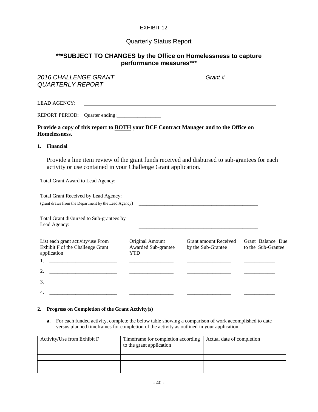## Quarterly Status Report

## **\*\*\*SUBJECT TO CHANGES by the Office on Homelessness to capture performance measures\*\*\***

| <b>2016 CHALLENGE GRANT</b><br><b>QUARTERLY REPORT</b>                                                                                                                                                                                       |                                                      |                                                                                                                       | Grant # The Contract Contract Contract Contract Contract Contract Contract Contract Contract Contract Contract Contract Contract Contract Contract Contract Contract Contract Contract Contract Contract Contract Contract Con |
|----------------------------------------------------------------------------------------------------------------------------------------------------------------------------------------------------------------------------------------------|------------------------------------------------------|-----------------------------------------------------------------------------------------------------------------------|--------------------------------------------------------------------------------------------------------------------------------------------------------------------------------------------------------------------------------|
| <b>LEAD AGENCY:</b>                                                                                                                                                                                                                          |                                                      |                                                                                                                       |                                                                                                                                                                                                                                |
| <b>REPORT PERIOD:</b>                                                                                                                                                                                                                        | Quarter ending:                                      |                                                                                                                       |                                                                                                                                                                                                                                |
| Provide a copy of this report to <b>BOTH</b> your DCF Contract Manager and to the Office on<br>Homelessness.                                                                                                                                 |                                                      |                                                                                                                       |                                                                                                                                                                                                                                |
| <b>Financial</b><br>1.                                                                                                                                                                                                                       |                                                      |                                                                                                                       |                                                                                                                                                                                                                                |
| Provide a line item review of the grant funds received and disbursed to sub-grantees for each<br>activity or use contained in your Challenge Grant application.<br>Total Grant Award to Lead Agency:<br>Total Grant Received by Lead Agency: |                                                      | <u> 1989 - Johann Barbara, martxa alemaniar argumento de la contrada de la contrada de la contrada de la contrad</u>  |                                                                                                                                                                                                                                |
| (grant draws from the Department by the Lead Agency)                                                                                                                                                                                         |                                                      |                                                                                                                       |                                                                                                                                                                                                                                |
| Total Grant disbursed to Sub-grantees by<br>Lead Agency:                                                                                                                                                                                     |                                                      | <u> 1980 - Johann Barbara, martin amerikan basar dan basa dan basa dan basa dan basa dan basa dan basa dan basa d</u> |                                                                                                                                                                                                                                |
| List each grant activity/use From<br>Exhibit F of the Challenge Grant<br>application<br>1.                                                                                                                                                   | Original Amount<br>Awarded Sub-grantee<br><b>YTD</b> | Grant amount Received<br>by the Sub-Grantee                                                                           | Grant Balance Due<br>to the Sub-Grantee                                                                                                                                                                                        |
| 2.                                                                                                                                                                                                                                           |                                                      |                                                                                                                       |                                                                                                                                                                                                                                |
| 3.                                                                                                                                                                                                                                           |                                                      |                                                                                                                       |                                                                                                                                                                                                                                |
| 4.                                                                                                                                                                                                                                           |                                                      |                                                                                                                       |                                                                                                                                                                                                                                |

#### **2. Progress on Completion of the Grant Activity(s)**

**a.** For each funded activity, complete the below table showing a comparison of work accomplished to date versus planned timeframes for completion of the activity as outlined in your application.

| Activity/Use from Exhibit F | Timeframe for completion according<br>to the grant application | Actual date of completion |
|-----------------------------|----------------------------------------------------------------|---------------------------|
|                             |                                                                |                           |
|                             |                                                                |                           |
|                             |                                                                |                           |
|                             |                                                                |                           |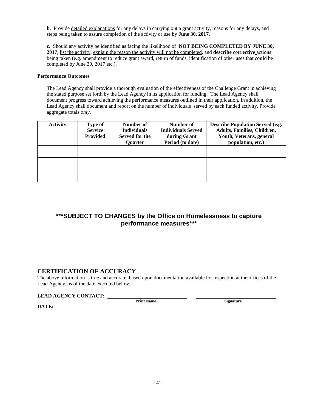**b.** Provide detailed explanations for any delays in carrying out a grant activity, reasons for any delays, and steps being taken to assure completion of the activity or use by **June 30, 2017**.

**c.** Should any activity be identified as facing the likelihood of **NOT BEING COMPLETED BY JUNE 30, 2017**, list the activity, explain the reason the activity will not be completed, and **describe corrective** actions being taken (e.g. amendment to reduce grant award, return of funds, identification of other uses that could be completed by June 30, 2017 etc.).

#### **Performance Outcomes**

The Lead Agency shall provide a thorough evaluation of the effectiveness of the Challenge Grant in achieving the stated purpose set forth by the Lead Agency in its application for funding. The Lead Agency shall document progress toward achieving the performance measures outlined in their application. In addition, the Lead Agency shall document and report on the number of individuals served by each funded activity. Provide aggregate totals *only*.

| <b>Activity</b> | <b>Type of</b><br><b>Service</b><br><b>Provided</b> | Number of<br><b>Individuals</b><br>Served for the<br><b>Ouarter</b> | Number of<br><b>Individuals Served</b><br>during Grant<br>Period (to date) | <b>Describe Population Served (e.g.</b><br>Adults, Families, Children,<br>Youth, Veterans, general<br>population, etc.) |
|-----------------|-----------------------------------------------------|---------------------------------------------------------------------|----------------------------------------------------------------------------|-------------------------------------------------------------------------------------------------------------------------|
|                 |                                                     |                                                                     |                                                                            |                                                                                                                         |
|                 |                                                     |                                                                     |                                                                            |                                                                                                                         |
|                 |                                                     |                                                                     |                                                                            |                                                                                                                         |

## **\*\*\*SUBJECT TO CHANGES by the Office on Homelessness to capture performance measures\*\*\***

## **CERTIFICATION OF ACCURACY**

The above information is true and accurate, based upon documentation available for inspection at the offices of the Lead Agency, as of the date executed below.

#### **LEAD AGENCY CONTACT:**

**DATE:**

**Print Name Signature**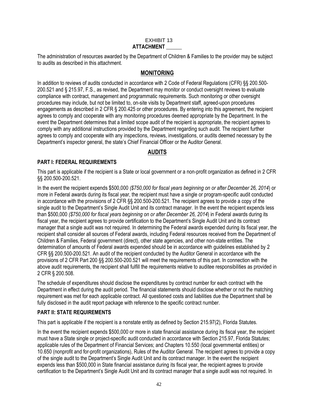#### EXHIBIT 13 **ATTACHMENT \_\_\_\_\_\_**

The administration of resources awarded by the Department of Children & Families to the provider may be subject to audits as described in this attachment.

## **MONITORING**

In addition to reviews of audits conducted in accordance with 2 Code of Federal Regulations (CFR) §§ 200.500- 200.521 and § 215.97, F.S., as revised, the Department may monitor or conduct oversight reviews to evaluate compliance with contract, management and programmatic requirements. Such monitoring or other oversight procedures may include, but not be limited to, on-site visits by Department staff, agreed-upon procedures engagements as described in 2 CFR § 200.425 or other procedures. By entering into this agreement, the recipient agrees to comply and cooperate with any monitoring procedures deemed appropriate by the Department. In the event the Department determines that a limited scope audit of the recipient is appropriate, the recipient agrees to comply with any additional instructions provided by the Department regarding such audit. The recipient further agrees to comply and cooperate with any inspections, reviews, investigations, or audits deemed necessary by the Department's inspector general, the state's Chief Financial Officer or the Auditor General.

## **AUDITS**

## **PART I: FEDERAL REQUIREMENTS**

This part is applicable if the recipient is a State or local government or a non-profit organization as defined in 2 CFR §§ 200.500-200.521.

In the event the recipient expends \$500,000 *(\$750,000 for fiscal years beginning on or after December 26, 2014*) or more in Federal awards during its fiscal year, the recipient must have a single or program-specific audit conducted in accordance with the provisions of 2 CFR §§ 200.500-200.521. The recipient agrees to provide a copy of the single audit to the Department's Single Audit Unit and its contract manager. In the event the recipient expends less than \$500,000 *(\$750,000 for fiscal years beginning on or after December 26, 2014*) in Federal awards during its fiscal year, the recipient agrees to provide certification to the Department's Single Audit Unit and its contract manager that a single audit was not required. In determining the Federal awards expended during its fiscal year, the recipient shall consider all sources of Federal awards, including Federal resources received from the Department of Children & Families, Federal government (direct), other state agencies, and other non-state entities. The determination of amounts of Federal awards expended should be in accordance with guidelines established by 2 CFR §§ 200.500-200.521. An audit of the recipient conducted by the Auditor General in accordance with the provisions of 2 CFR Part 200 §§ 200.500-200.521 will meet the requirements of this part. In connection with the above audit requirements, the recipient shall fulfill the requirements relative to auditee responsibilities as provided in 2 CFR § 200.508.

The schedule of expenditures should disclose the expenditures by contract number for each contract with the Department in effect during the audit period. The financial statements should disclose whether or not the matching requirement was met for each applicable contract. All questioned costs and liabilities due the Department shall be fully disclosed in the audit report package with reference to the specific contract number.

## **PART II: STATE REQUIREMENTS**

This part is applicable if the recipient is a nonstate entity as defined by Section 215.97(2), Florida Statutes.

In the event the recipient expends \$500,000 or more in state financial assistance during its fiscal year, the recipient must have a State single or project-specific audit conducted in accordance with Section 215.97, Florida Statutes; applicable rules of the Department of Financial Services; and Chapters 10.550 (local governmental entities) or 10.650 (nonprofit and for-profit organizations), Rules of the Auditor General. The recipient agrees to provide a copy of the single audit to the Department's Single Audit Unit and its contract manager. In the event the recipient expends less than \$500,000 in State financial assistance during its fiscal year, the recipient agrees to provide certification to the Department's Single Audit Unit and its contract manager that a single audit was not required. In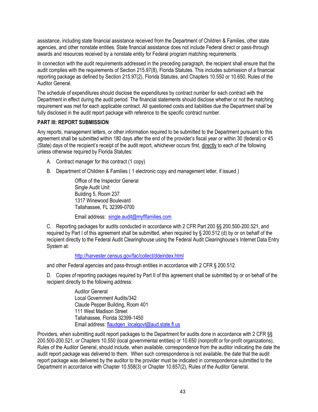assistance, including state financial assistance received from the Department of Children & Families, other state agencies, and other nonstate entities. State financial assistance does not include Federal direct or pass-through awards and resources received by a nonstate entity for Federal program matching requirements.

In connection with the audit requirements addressed in the preceding paragraph, the recipient shall ensure that the audit complies with the requirements of Section 215.97(8), Florida Statutes. This includes submission of a financial reporting package as defined by Section 215.97(2), Florida Statutes, and Chapters 10.550 or 10.650, Rules of the Auditor General.

The schedule of expenditures should disclose the expenditures by contract number for each contract with the Department in effect during the audit period. The financial statements should disclose whether or not the matching requirement was met for each applicable contract. All questioned costs and liabilities due the Department shall be fully disclosed in the audit report package with reference to the specific contract number.

## **PART III: REPORT SUBMISSION**

Any reports, management letters, or other information required to be submitted to the Department pursuant to this agreement shall be submitted within 180 days after the end of the provider's fiscal year or within 30 (federal) or 45 (State) days of the recipient's receipt of the audit report, whichever occurs first, directly to each of the following unless otherwise required by Florida Statutes:

- A. Contract manager for this contract (1 copy)
- B. Department of Children & Families ( 1 electronic copy and management letter, if issued )

Office of the Inspector General Single Audit Unit Building 5, Room 237 1317 Winewood Boulevard Tallahassee, FL 32399-0700

Email address: [single.audit@myflfamilies.com](mailto:single_audit@dcf.state.fl.us)

C. Reporting packages for audits conducted in accordance with 2 CFR Part 200 §§ 200.500-200.521, and required by Part I of this agreement shall be submitted, when required by § 200.512 (d) by or on behalf of the recipient directly to the Federal Audit Clearinghouse using the Federal Audit Clearinghouse's Internet Data Entry System at:

#### <http://harvester.census.gov/fac/collect/ddeindex.html>

and other Federal agencies and pass-through entities in accordance with 2 CFR § 200.512.

D. Copies of reporting packages required by Part II of this agreement shall be submitted by or on behalf of the recipient directly to the following address:

> Auditor General Local Government Audits/342 Claude Pepper Building, Room 401 111 West Madison Street Tallahassee, Florida 32399-1450 Email address: [flaudgen\\_localgovt@aud.state.fl.us](mailto:flaudgen_localgovt@aud.state.fl.us)

Providers, when submitting audit report packages to the Department for audits done in accordance with 2 CFR §§ 200.500-200.521, or Chapters 10.550 (local governmental entities) or 10.650 (nonprofit or for-profit organizations), Rules of the Auditor General, should include, when available, correspondence from the auditor indicating the date the audit report package was delivered to them. When such correspondence is not available, the date that the audit report package was delivered by the auditor to the provider must be indicated in correspondence submitted to the Department in accordance with Chapter 10.558(3) or Chapter 10.657(2), Rules of the Auditor General.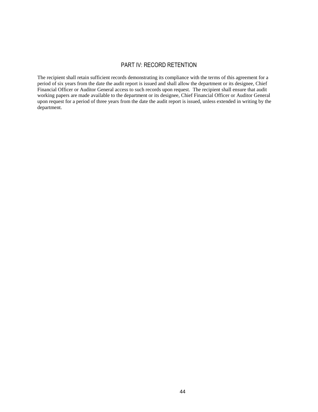#### PART IV: RECORD RETENTION

The recipient shall retain sufficient records demonstrating its compliance with the terms of this agreement for a period of six years from the date the audit report is issued and shall allow the department or its designee, Chief Financial Officer or Auditor General access to such records upon request. The recipient shall ensure that audit working papers are made available to the department or its designee, Chief Financial Officer or Auditor General upon request for a period of three years from the date the audit report is issued, unless extended in writing by the department.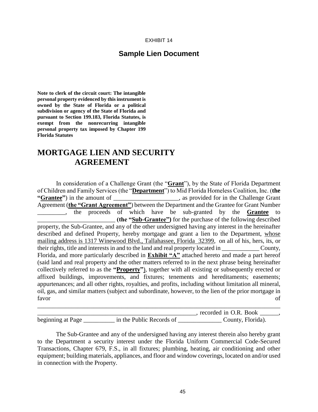## **Sample Lien Document**

**Note to clerk of the circuit court: The intangible personal property evidenced by this instrument is owned by the State of Florida or a political subdivision or agency of the State of Florida and pursuant to Section 199.183, Florida Statutes, is exempt from the nonrecurring intangible personal property tax imposed by Chapter 199 Florida Statutes**

## **MORTGAGE LIEN AND SECURITY AGREEMENT**

In consideration of a Challenge Grant (the "**Grant**"), by the State of Florida Department of Children and Family Services (the "**Department**") to Mid Florida Homeless Coalition, Inc. (**the "Grantee"**) in the amount of \_\_\_\_\_\_\_\_\_\_\_\_\_\_\_\_\_\_\_\_\_, as provided for in the Challenge Grant Agreement (**the "Grant Agreement"**) between the Department and the Grantee for Grant Number \_\_\_\_\_\_\_\_\_, the proceeds of which have be sub-granted by the **Grantee** to \_\_\_\_\_\_\_\_\_\_\_\_\_\_\_\_\_\_\_\_\_\_\_\_\_ **(the "Sub-Grantee")** for the purchase of the following described property, the Sub-Grantee, and any of the other undersigned having any interest in the hereinafter described and defined Property, hereby mortgage and grant a lien to the Department, whose mailing address is 1317 Winewood Blvd., Tallahassee, Florida 32399, on all of his, hers, its, or their rights, title and interests in and to the land and real property located in \_\_\_\_\_\_\_\_\_\_\_\_ County, Florida, and more particularly described in **Exhibit "A"** attached hereto and made a part hereof (said land and real property and the other matters referred to in the next phrase being hereinafter collectively referred to as the **"Property"**), together with all existing or subsequently erected or affixed buildings, improvements, and fixtures; tenements and hereditaments; easements; appurtenances; and all other rights, royalties, and profits, including without limitation all mineral, oil, gas, and similar matters (subject and subordinate, however, to the lien of the prior mortgage in favor of

|                   |                          | , recorded in O.R. Book |
|-------------------|--------------------------|-------------------------|
| beginning at Page | in the Public Records of | County, Florida).       |

\_\_\_\_\_\_\_\_\_\_\_\_\_\_\_\_\_\_\_\_\_\_\_\_\_\_\_\_\_\_\_\_\_\_\_\_\_\_\_\_\_\_\_\_\_\_\_\_\_\_\_\_\_\_\_\_\_\_\_\_\_\_\_\_\_\_\_\_\_\_\_\_\_\_\_\_\_\_

The Sub-Grantee and any of the undersigned having any interest therein also hereby grant to the Department a security interest under the Florida Uniform Commercial Code-Secured Transactions, Chapter 679, F.S., in all fixtures; plumbing, heating, air conditioning and other equipment; building materials, appliances, and floor and window coverings, located on and/or used in connection with the Property.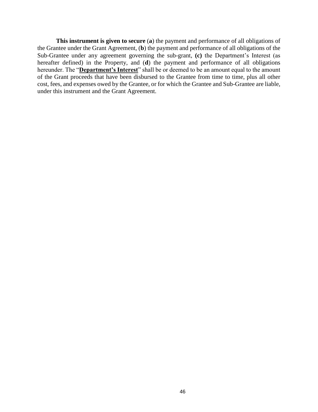**This instrument is given to secure** (**a**) the payment and performance of all obligations of the Grantee under the Grant Agreement, (**b**) the payment and performance of all obligations of the Sub-Grantee under any agreement governing the sub-grant, **(c)** the Department's Interest (as hereafter defined) in the Property, and (**d**) the payment and performance of all obligations hereunder. The "**Department's Interest**" shall be or deemed to be an amount equal to the amount of the Grant proceeds that have been disbursed to the Grantee from time to time, plus all other cost, fees, and expenses owed by the Grantee, or for which the Grantee and Sub-Grantee are liable, under this instrument and the Grant Agreement.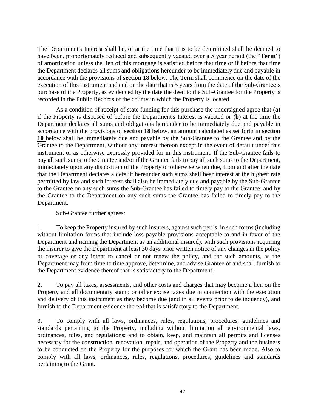The Department's Interest shall be, or at the time that it is to be determined shall be deemed to have been, proportionately reduced and subsequently vacated over a 5 year period (the "**Term**") of amortization unless the lien of this mortgage is satisfied before that time or if before that time the Department declares all sums and obligations hereunder to be immediately due and payable in accordance with the provisions of **section 18** below. The Term shall commence on the date of the execution of this instrument and end on the date that is 5 years from the date of the Sub-Grantee's purchase of the Property, as evidenced by the date the deed to the Sub-Grantee for the Property is recorded in the Public Records of the county in which the Property is located

As a condition of receipt of state funding for this purchase the undersigned agree that **(a)** if the Property is disposed of before the Department's Interest is vacated or **(b)** at the time the Department declares all sums and obligations hereunder to be immediately due and payable in accordance with the provisions of **section 18** below, an amount calculated as set forth in **section 10** below shall be immediately due and payable by the Sub-Grantee to the Grantee and by the Grantee to the Department, without any interest thereon except in the event of default under this instrument or as otherwise expressly provided for in this instrument. If the Sub-Grantee fails to pay all such sums to the Grantee and/or if the Grantee fails to pay all such sums to the Department, immediately upon any disposition of the Property or otherwise when due, from and after the date that the Department declares a default hereunder such sums shall bear interest at the highest rate permitted by law and such interest shall also be immediately due and payable by the Sub-Grantee to the Grantee on any such sums the Sub-Grantee has failed to timely pay to the Grantee, and by the Grantee to the Department on any such sums the Grantee has failed to timely pay to the Department.

Sub-Grantee further agrees:

1. To keep the Property insured by such insurers, against such perils, in such forms (including without limitation forms that include loss payable provisions acceptable to and in favor of the Department and naming the Department as an additional insured), with such provisions requiring the insurer to give the Department at least 30 days prior written notice of any changes in the policy or coverage or any intent to cancel or not renew the policy, and for such amounts, as the Department may from time to time approve, determine, and advise Grantee of and shall furnish to the Department evidence thereof that is satisfactory to the Department.

2. To pay all taxes, assessments, and other costs and charges that may become a lien on the Property and all documentary stamp or other excise taxes due in connection with the execution and delivery of this instrument as they become due (and in all events prior to delinquency), and furnish to the Department evidence thereof that is satisfactory to the Department.

3. To comply with all laws, ordinances, rules, regulations, procedures, guidelines and standards pertaining to the Property, including without limitation all environmental laws, ordinances, rules, and regulations; and to obtain, keep, and maintain all permits and licenses necessary for the construction, renovation, repair, and operation of the Property and the business to be conducted on the Property for the purposes for which the Grant has been made. Also to comply with all laws, ordinances, rules, regulations, procedures, guidelines and standards pertaining to the Grant.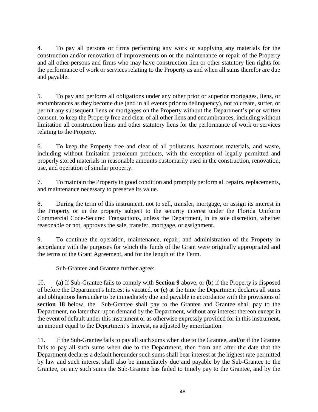4. To pay all persons or firms performing any work or supplying any materials for the construction and/or renovation of improvements on or the maintenance or repair of the Property and all other persons and firms who may have construction lien or other statutory lien rights for the performance of work or services relating to the Property as and when all sums therefor are due and payable.

5. To pay and perform all obligations under any other prior or superior mortgages, liens, or encumbrances as they become due (and in all events prior to delinquency), not to create, suffer, or permit any subsequent liens or mortgages on the Property without the Department's prior written consent, to keep the Property free and clear of all other liens and encumbrances, including without limitation all construction liens and other statutory liens for the performance of work or services relating to the Property.

6. To keep the Property free and clear of all pollutants, hazardous materials, and waste, including without limitation petroleum products, with the exception of legally permitted and properly stored materials in reasonable amounts customarily used in the construction, renovation, use, and operation of similar property.

7. To maintain the Property in good condition and promptly perform all repairs, replacements, and maintenance necessary to preserve its value.

8. During the term of this instrument, not to sell, transfer, mortgage, or assign its interest in the Property or in the property subject to the security interest under the Florida Uniform Commercial Code-Secured Transactions, unless the Department, in its sole discretion, whether reasonable or not, approves the sale, transfer, mortgage, or assignment.

9. To continue the operation, maintenance, repair, and administration of the Property in accordance with the purposes for which the funds of the Grant were originally appropriated and the terms of the Grant Agreement, and for the length of the Term.

Sub-Grantee and Grantee further agree:

10. **(a)** If Sub-Grantee fails to comply with **Section 9** above, or **(b**) if the Property is disposed of before the Department's Interest is vacated, or **(c)** at the time the Department declares all sums and obligations hereunder to be immediately due and payable in accordance with the provisions of **section 18** below, the Sub-Grantee shall pay to the Grantee and Grantee shall pay to the Department, no later than upon demand by the Department, without any interest thereon except in the event of default under this instrument or as otherwise expressly provided for in this instrument, an amount equal to the Department's Interest, as adjusted by amortization.

11. If the Sub-Grantee fails to pay all such sums when due to the Grantee, and/or if the Grantee fails to pay all such sums when due to the Department, then from and after the date that the Department declares a default hereunder such sums shall bear interest at the highest rate permitted by law and such interest shall also be immediately due and payable by the Sub-Grantee to the Grantee, on any such sums the Sub-Grantee has failed to timely pay to the Grantee, and by the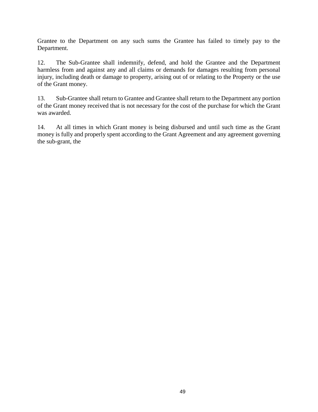Grantee to the Department on any such sums the Grantee has failed to timely pay to the Department.

12. The Sub-Grantee shall indemnify, defend, and hold the Grantee and the Department harmless from and against any and all claims or demands for damages resulting from personal injury, including death or damage to property, arising out of or relating to the Property or the use of the Grant money.

13. Sub-Grantee shall return to Grantee and Grantee shall return to the Department any portion of the Grant money received that is not necessary for the cost of the purchase for which the Grant was awarded.

14. At all times in which Grant money is being disbursed and until such time as the Grant money is fully and properly spent according to the Grant Agreement and any agreement governing the sub-grant, the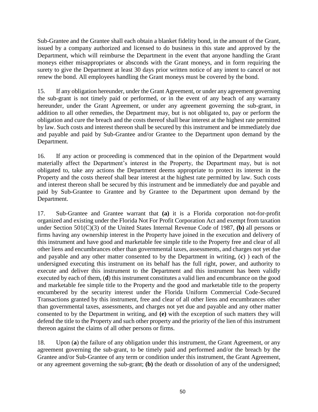Sub-Grantee and the Grantee shall each obtain a blanket fidelity bond, in the amount of the Grant, issued by a company authorized and licensed to do business in this state and approved by the Department, which will reimburse the Department in the event that anyone handling the Grant moneys either misappropriates or absconds with the Grant moneys, and in form requiring the surety to give the Department at least 30 days prior written notice of any intent to cancel or not renew the bond. All employees handling the Grant moneys must be covered by the bond.

15. If any obligation hereunder, under the Grant Agreement, or under any agreement governing the sub-grant is not timely paid or performed, or in the event of any beach of any warranty hereunder, under the Grant Agreement, or under any agreement governing the sub-grant, in addition to all other remedies, the Department may, but is not obligated to, pay or perform the obligation and cure the breach and the costs thereof shall bear interest at the highest rate permitted by law. Such costs and interest thereon shall be secured by this instrument and be immediately due and payable and paid by Sub-Grantee and/or Grantee to the Department upon demand by the Department.

16. If any action or proceeding is commenced that in the opinion of the Department would materially affect the Department's interest in the Property, the Department may, but is not obligated to, take any actions the Department deems appropriate to protect its interest in the Property and the costs thereof shall bear interest at the highest rate permitted by law. Such costs and interest thereon shall be secured by this instrument and be immediately due and payable and paid by Sub-Grantee to Grantee and by Grantee to the Department upon demand by the Department.

17. Sub-Grantee and Grantee warrant that **(a)** it is a Florida corporation not-for-profit organized and existing under the Florida Not For Profit Corporation Act and exempt from taxation under Section 501(C)(3) of the United States Internal Revenue Code of 1987, **(b)** all persons or firms having any ownership interest in the Property have joined in the execution and delivery of this instrument and have good and marketable fee simple title to the Property free and clear of all other liens and encumbrances other than governmental taxes, assessments, and charges not yet due and payable and any other matter consented to by the Department in writing, (**c**) ) each of the undersigned executing this instrument on its behalf has the full right, power, and authority to execute and deliver this instrument to the Department and this instrument has been validly executed by each of them, (**d**) this instrument constitutes a valid lien and encumbrance on the good and marketable fee simple title to the Property and the good and marketable title to the property encumbered by the security interest under the Florida Uniform Commercial Code-Secured Transactions granted by this instrument, free and clear of all other liens and encumbrances other than governmental taxes, assessments, and charges not yet due and payable and any other matter consented to by the Department in writing, and **(e)** with the exception of such matters they will defend the title to the Property and such other property and the priority of the lien of this instrument thereon against the claims of all other persons or firms.

18. Upon (**a**) the failure of any obligation under this instrument, the Grant Agreement, or any agreement governing the sub-grant, to be timely paid and performed and/or the breach by the Grantee and/or Sub-Grantee of any term or condition under this instrument, the Grant Agreement, or any agreement governing the sub-grant; **(b)** the death or dissolution of any of the undersigned;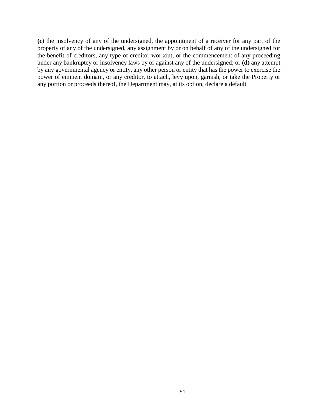**(c)** the insolvency of any of the undersigned, the appointment of a receiver for any part of the property of any of the undersigned, any assignment by or on behalf of any of the undersigned for the benefit of creditors, any type of creditor workout, or the commencement of any proceeding under any bankruptcy or insolvency laws by or against any of the undersigned; or **(d)** any attempt by any governmental agency or entity, any other person or entity that has the power to exercise the power of eminent domain, or any creditor, to attach, levy upon, garnish, or take the Property or any portion or proceeds thereof, the Department may, at its option, declare a default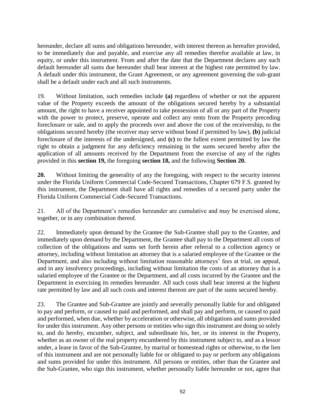hereunder, declare all sums and obligations hereunder, with interest thereon as hereafter provided, to be immediately due and payable, and exercise any all remedies therefor available at law, in equity, or under this instrument. From and after the date that the Department declares any such default hereunder all sums due hereunder shall bear interest at the highest rate permitted by law. A default under this instrument, the Grant Agreement, or any agreement governing the sub-grant shall be a default under each and all such instruments.

19. Without limitation, such remedies include **(a)** regardless of whether or not the apparent value of the Property exceeds the amount of the obligations secured hereby by a substantial amount, the right to have a receiver appointed to take possession of all or any part of the Property with the power to protect, preserve, operate and collect any rents from the Property preceding foreclosure or sale, and to apply the proceeds over and above the cost of the receivership, to the obligations secured hereby (the receiver may serve without bond if permitted by law), **(b)** judicial foreclosure of the interests of the undersigned, and **(c)** to the fullest extent permitted by law the right to obtain a judgment for any deficiency remaining in the sums secured hereby after the application of all amounts received by the Department from the exercise of any of the rights provided in this **section 19,** the foregoing **section 18,** and the following **Section 20.**

**20.** Without limiting the generality of any the foregoing, with respect to the security interest under the Florida Uniform Commercial Code-Secured Transactions, Chapter 679 F.S. granted by this instrument, the Department shall have all rights and remedies of a secured party under the Florida Uniform Commercial Code-Secured Transactions.

21. All of the Department's remedies hereunder are cumulative and may be exercised alone, together, or in any combination thereof.

22. Immediately upon demand by the Grantee the Sub-Grantee shall pay to the Grantee, and immediately upon demand by the Department, the Grantee shall pay to the Department all costs of collection of the obligations and sums set forth herein after referral to a collection agency or attorney, including without limitation an attorney that is a salaried employee of the Grantee or the Department, and also including without limitation reasonable attorneys' fees at trial, on appeal, and in any insolvency proceedings, including without limitation the costs of an attorney that is a salaried employee of the Grantee or the Department, and all costs incurred by the Grantee and the Department in exercising its remedies hereunder. All such costs shall bear interest at the highest rate permitted by law and all such costs and interest thereon are part of the sums secured hereby.

23. The Grantee and Sub-Grantee are jointly and severally personally liable for and obligated to pay and perform, or caused to paid and performed, and shall pay and perform, or caused to paid and performed, when due, whether by acceleration or otherwise, all obligations and sums provided for under this instrument. Any other persons or entities who sign this instrument are doing so solely to, and do hereby, encumber, subject, and subordinate his, her, or its interest in the Property, whether as an owner of the real property encumbered by this instrument subject to, and as a lessor under, a lease in favor of the Sub-Grantee, by marital or homestead rights or otherwise, to the lien of this instrument and are not personally liable for or obligated to pay or perform any obligations and sums provided for under this instrument. All persons or entities, other than the Grantee and the Sub-Grantee, who sign this instrument, whether personally liable hereunder or not, agree that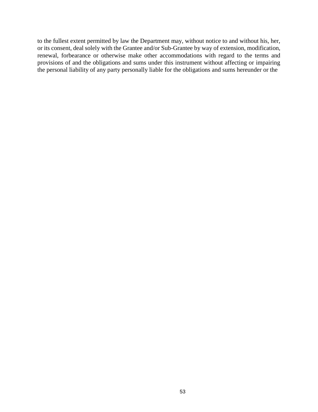to the fullest extent permitted by law the Department may, without notice to and without his, her, or its consent, deal solely with the Grantee and/or Sub-Grantee by way of extension, modification, renewal, forbearance or otherwise make other accommodations with regard to the terms and provisions of and the obligations and sums under this instrument without affecting or impairing the personal liability of any party personally liable for the obligations and sums hereunder or the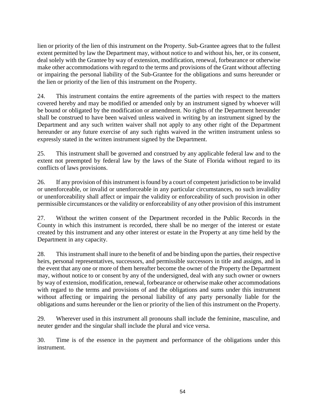lien or priority of the lien of this instrument on the Property. Sub-Grantee agrees that to the fullest extent permitted by law the Department may, without notice to and without his, her, or its consent, deal solely with the Grantee by way of extension, modification, renewal, forbearance or otherwise make other accommodations with regard to the terms and provisions of the Grant without affecting or impairing the personal liability of the Sub-Grantee for the obligations and sums hereunder or the lien or priority of the lien of this instrument on the Property.

24. This instrument contains the entire agreements of the parties with respect to the matters covered hereby and may be modified or amended only by an instrument signed by whoever will be bound or obligated by the modification or amendment. No rights of the Department hereunder shall be construed to have been waived unless waived in writing by an instrument signed by the Department and any such written waiver shall not apply to any other right of the Department hereunder or any future exercise of any such rights waived in the written instrument unless so expressly stated in the written instrument signed by the Department.

25. This instrument shall be governed and construed by any applicable federal law and to the extent not preempted by federal law by the laws of the State of Florida without regard to its conflicts of laws provisions.

26. If any provision of this instrument is found by a court of competent jurisdiction to be invalid or unenforceable, or invalid or unenforceable in any particular circumstances, no such invalidity or unenforceability shall affect or impair the validity or enforceability of such provision in other permissible circumstances or the validity or enforceability of any other provision of this instrument

27. Without the written consent of the Department recorded in the Public Records in the County in which this instrument is recorded, there shall be no merger of the interest or estate created by this instrument and any other interest or estate in the Property at any time held by the Department in any capacity.

28. This instrument shall inure to the benefit of and be binding upon the parties, their respective heirs, personal representatives, successors, and permissible successors in title and assigns, and in the event that any one or more of them hereafter become the owner of the Property the Department may, without notice to or consent by any of the undersigned, deal with any such owner or owners by way of extension, modification, renewal, forbearance or otherwise make other accommodations with regard to the terms and provisions of and the obligations and sums under this instrument without affecting or impairing the personal liability of any party personally liable for the obligations and sums hereunder or the lien or priority of the lien of this instrument on the Property.

29. Wherever used in this instrument all pronouns shall include the feminine, masculine, and neuter gender and the singular shall include the plural and vice versa.

30. Time is of the essence in the payment and performance of the obligations under this instrument.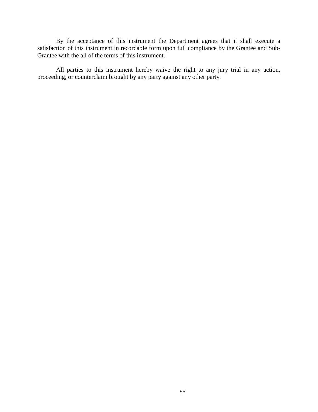By the acceptance of this instrument the Department agrees that it shall execute a satisfaction of this instrument in recordable form upon full compliance by the Grantee and Sub-Grantee with the all of the terms of this instrument.

All parties to this instrument hereby waive the right to any jury trial in any action, proceeding, or counterclaim brought by any party against any other party.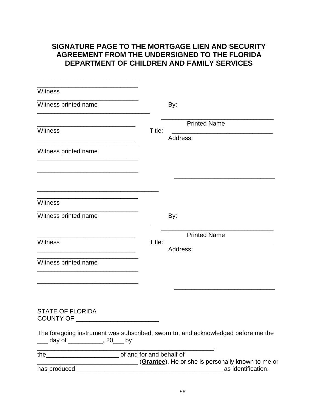## **SIGNATURE PAGE TO THE MORTGAGE LIEN AND SECURITY AGREEMENT FROM THE UNDERSIGNED TO THE FLORIDA DEPARTMENT OF CHILDREN AND FAMILY SERVICES**

| <b>Witness</b>                  |        |                                                                                                                    |
|---------------------------------|--------|--------------------------------------------------------------------------------------------------------------------|
| Witness printed name            |        | By:                                                                                                                |
| <b>Witness</b>                  | Title: | <b>Printed Name</b>                                                                                                |
|                                 |        | Address:                                                                                                           |
| Witness printed name            |        |                                                                                                                    |
|                                 |        |                                                                                                                    |
|                                 |        |                                                                                                                    |
| <b>Witness</b>                  |        |                                                                                                                    |
| Witness printed name            |        | By:                                                                                                                |
|                                 |        | <b>Printed Name</b>                                                                                                |
| <b>Witness</b>                  | Title: | Address:                                                                                                           |
| Witness printed name            |        |                                                                                                                    |
|                                 |        |                                                                                                                    |
|                                 |        |                                                                                                                    |
| <b>STATE OF FLORIDA</b>         |        |                                                                                                                    |
| ___ day of __________, 20___ by |        | The foregoing instrument was subscribed, sworn to, and acknowledged before me the                                  |
|                                 |        |                                                                                                                    |
|                                 |        | <b>Crantee</b> ). He or she is personally known to me or <b>(Grantee</b> ). He or she is personally known to me or |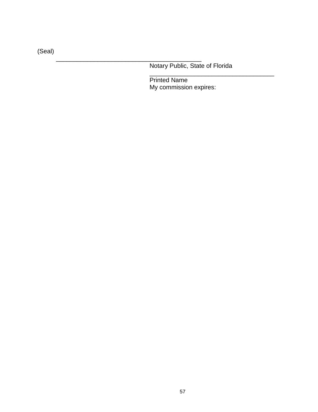(Seal)

Notary Public, State of Florida

\_\_\_\_\_\_\_\_\_\_\_\_\_\_\_\_\_\_\_\_\_\_\_\_\_\_\_\_\_\_\_\_\_\_\_\_

Printed Name My commission expires:

\_\_\_\_\_\_\_\_\_\_\_\_\_\_\_\_\_\_\_\_\_\_\_\_\_\_\_\_\_\_\_\_\_\_\_\_\_\_\_\_\_\_